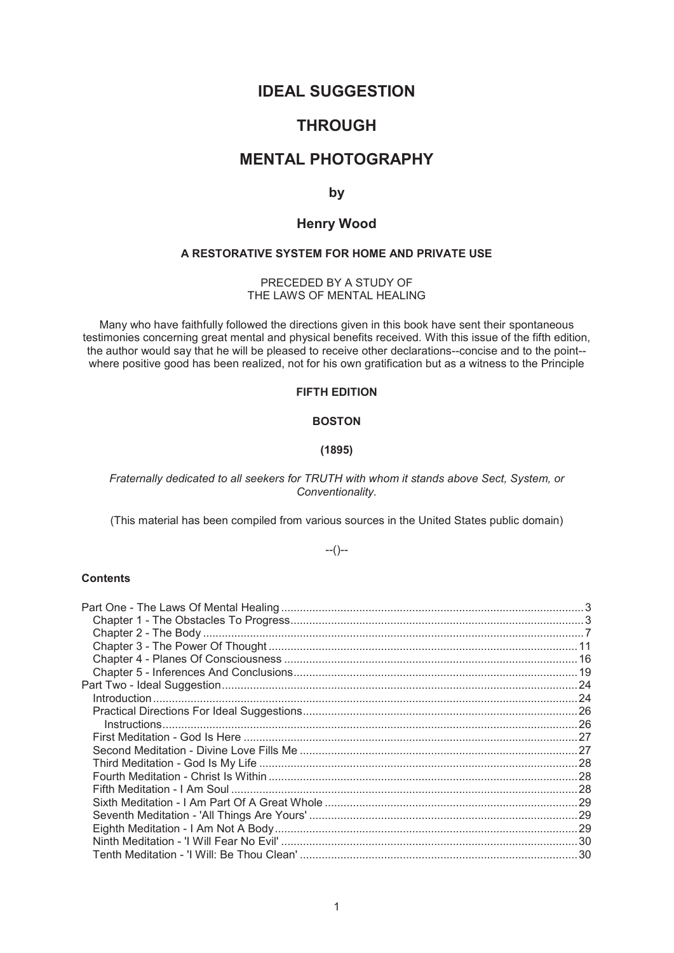# **IDEAL SUGGESTION**

# **THROUGH**

# **MENTAL PHOTOGRAPHY**

**by** 

# **Henry Wood**

## **A RESTORATIVE SYSTEM FOR HOME AND PRIVATE USE**

PRECEDED BY A STUDY OF THE LAWS OF MENTAL HEALING

Many who have faithfully followed the directions given in this book have sent their spontaneous testimonies concerning great mental and physical benefits received. With this issue of the fifth edition, the author would say that he will be pleased to receive other declarations--concise and to the point- where positive good has been realized, not for his own gratification but as a witness to the Principle

# **FIFTH EDITION**

# **BOSTON**

#### **(1895)**

### *Fraternally dedicated to all seekers for TRUTH with whom it stands above Sect, System, or Conventionality.*

(This material has been compiled from various sources in the United States public domain)

### $-(-)$

### **Contents**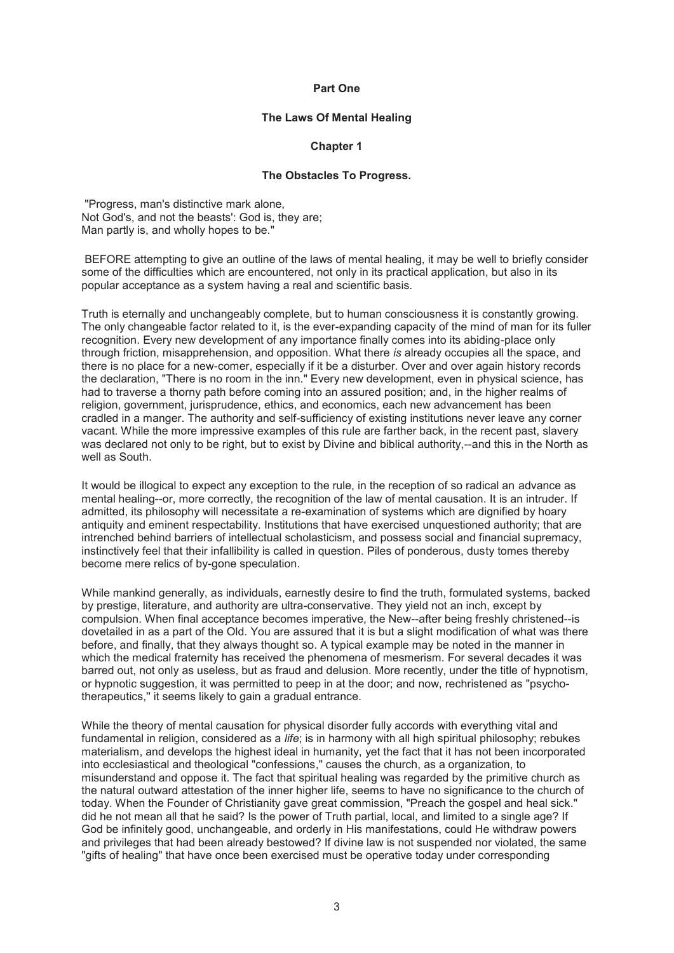#### **Part One**

#### **The Laws Of Mental Healing**

#### **Chapter 1**

#### **The Obstacles To Progress.**

 "Progress, man's distinctive mark alone, Not God's, and not the beasts': God is, they are; Man partly is, and wholly hopes to be."

 BEFORE attempting to give an outline of the laws of mental healing, it may be well to briefly consider some of the difficulties which are encountered, not only in its practical application, but also in its popular acceptance as a system having a real and scientific basis.

Truth is eternally and unchangeably complete, but to human consciousness it is constantly growing. The only changeable factor related to it, is the ever-expanding capacity of the mind of man for its fuller recognition. Every new development of any importance finally comes into its abiding-place only through friction, misapprehension, and opposition. What there *is* already occupies all the space, and there is no place for a new-comer, especially if it be a disturber. Over and over again history records the declaration, "There is no room in the inn." Every new development, even in physical science, has had to traverse a thorny path before coming into an assured position; and, in the higher realms of religion, government, jurisprudence, ethics, and economics, each new advancement has been cradled in a manger. The authority and self-sufficiency of existing institutions never leave any corner vacant. While the more impressive examples of this rule are farther back, in the recent past, slavery was declared not only to be right, but to exist by Divine and biblical authority,--and this in the North as well as South.

It would be illogical to expect any exception to the rule, in the reception of so radical an advance as mental healing--or, more correctly, the recognition of the law of mental causation. It is an intruder. If admitted, its philosophy will necessitate a re-examination of systems which are dignified by hoary antiquity and eminent respectability. Institutions that have exercised unquestioned authority; that are intrenched behind barriers of intellectual scholasticism, and possess social and financial supremacy, instinctively feel that their infallibility is called in question. Piles of ponderous, dusty tomes thereby become mere relics of by-gone speculation.

While mankind generally, as individuals, earnestly desire to find the truth, formulated systems, backed by prestige, literature, and authority are ultra-conservative. They yield not an inch, except by compulsion. When final acceptance becomes imperative, the New--after being freshly christened--is dovetailed in as a part of the Old. You are assured that it is but a slight modification of what was there before, and finally, that they always thought so. A typical example may be noted in the manner in which the medical fraternity has received the phenomena of mesmerism. For several decades it was barred out, not only as useless, but as fraud and delusion. More recently, under the title of hypnotism, or hypnotic suggestion, it was permitted to peep in at the door; and now, rechristened as "psychotherapeutics,'' it seems likely to gain a gradual entrance.

While the theory of mental causation for physical disorder fully accords with everything vital and fundamental in religion, considered as a *life*; is in harmony with all high spiritual philosophy; rebukes materialism, and develops the highest ideal in humanity, yet the fact that it has not been incorporated into ecclesiastical and theological "confessions," causes the church, as a organization, to misunderstand and oppose it. The fact that spiritual healing was regarded by the primitive church as the natural outward attestation of the inner higher life, seems to have no significance to the church of today. When the Founder of Christianity gave great commission, "Preach the gospel and heal sick." did he not mean all that he said? Is the power of Truth partial, local, and limited to a single age? If God be infinitely good, unchangeable, and orderly in His manifestations, could He withdraw powers and privileges that had been already bestowed? If divine law is not suspended nor violated, the same "gifts of healing" that have once been exercised must be operative today under corresponding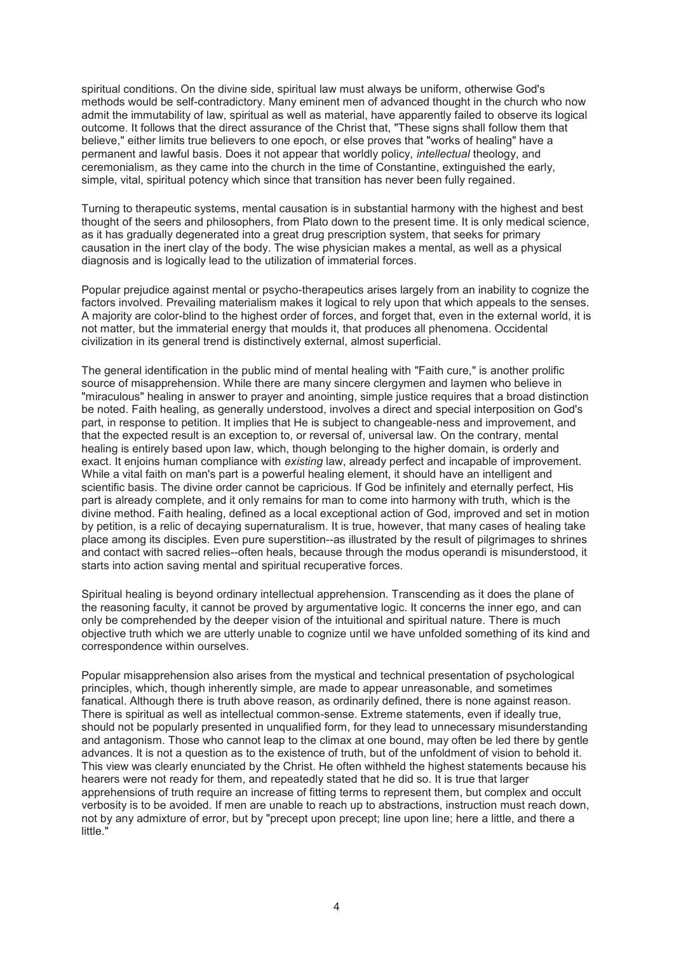spiritual conditions. On the divine side, spiritual law must always be uniform, otherwise God's methods would be self-contradictory. Many eminent men of advanced thought in the church who now admit the immutability of law, spiritual as well as material, have apparently failed to observe its logical outcome. It follows that the direct assurance of the Christ that, "These signs shall follow them that believe," either limits true believers to one epoch, or else proves that "works of healing" have a permanent and lawful basis. Does it not appear that worldly policy, *intellectual* theology, and ceremonialism, as they came into the church in the time of Constantine, extinguished the early, simple, vital, spiritual potency which since that transition has never been fully regained.

Turning to therapeutic systems, mental causation is in substantial harmony with the highest and best thought of the seers and philosophers, from Plato down to the present time. It is only medical science, as it has gradually degenerated into a great drug prescription system, that seeks for primary causation in the inert clay of the body. The wise physician makes a mental, as well as a physical diagnosis and is logically lead to the utilization of immaterial forces.

Popular prejudice against mental or psycho-therapeutics arises largely from an inability to cognize the factors involved. Prevailing materialism makes it logical to rely upon that which appeals to the senses. A majority are color-blind to the highest order of forces, and forget that, even in the external world, it is not matter, but the immaterial energy that moulds it, that produces all phenomena. Occidental civilization in its general trend is distinctively external, almost superficial.

The general identification in the public mind of mental healing with "Faith cure," is another prolific source of misapprehension. While there are many sincere clergymen and laymen who believe in "miraculous" healing in answer to prayer and anointing, simple justice requires that a broad distinction be noted. Faith healing, as generally understood, involves a direct and special interposition on God's part, in response to petition. It implies that He is subject to changeable-ness and improvement, and that the expected result is an exception to, or reversal of, universal law. On the contrary, mental healing is entirely based upon law, which, though belonging to the higher domain, is orderly and exact. It enjoins human compliance with *existing* law, already perfect and incapable of improvement. While a vital faith on man's part is a powerful healing element, it should have an intelligent and scientific basis. The divine order cannot be capricious. If God be infinitely and eternally perfect, His part is already complete, and it only remains for man to come into harmony with truth, which is the divine method. Faith healing, defined as a local exceptional action of God, improved and set in motion by petition, is a relic of decaying supernaturalism. It is true, however, that many cases of healing take place among its disciples. Even pure superstition--as illustrated by the result of pilgrimages to shrines and contact with sacred relies--often heals, because through the modus operandi is misunderstood, it starts into action saving mental and spiritual recuperative forces.

Spiritual healing is beyond ordinary intellectual apprehension. Transcending as it does the plane of the reasoning faculty, it cannot be proved by argumentative logic. It concerns the inner ego, and can only be comprehended by the deeper vision of the intuitional and spiritual nature. There is much objective truth which we are utterly unable to cognize until we have unfolded something of its kind and correspondence within ourselves.

Popular misapprehension also arises from the mystical and technical presentation of psychological principles, which, though inherently simple, are made to appear unreasonable, and sometimes fanatical. Although there is truth above reason, as ordinarily defined, there is none against reason. There is spiritual as well as intellectual common-sense. Extreme statements, even if ideally true, should not be popularly presented in unqualified form, for they lead to unnecessary misunderstanding and antagonism. Those who cannot leap to the climax at one bound, may often be led there by gentle advances. It is not a question as to the existence of truth, but of the unfoldment of vision to behold it. This view was clearly enunciated by the Christ. He often withheld the highest statements because his hearers were not ready for them, and repeatedly stated that he did so. It is true that larger apprehensions of truth require an increase of fitting terms to represent them, but complex and occult verbosity is to be avoided. If men are unable to reach up to abstractions, instruction must reach down, not by any admixture of error, but by "precept upon precept; line upon line; here a little, and there a little."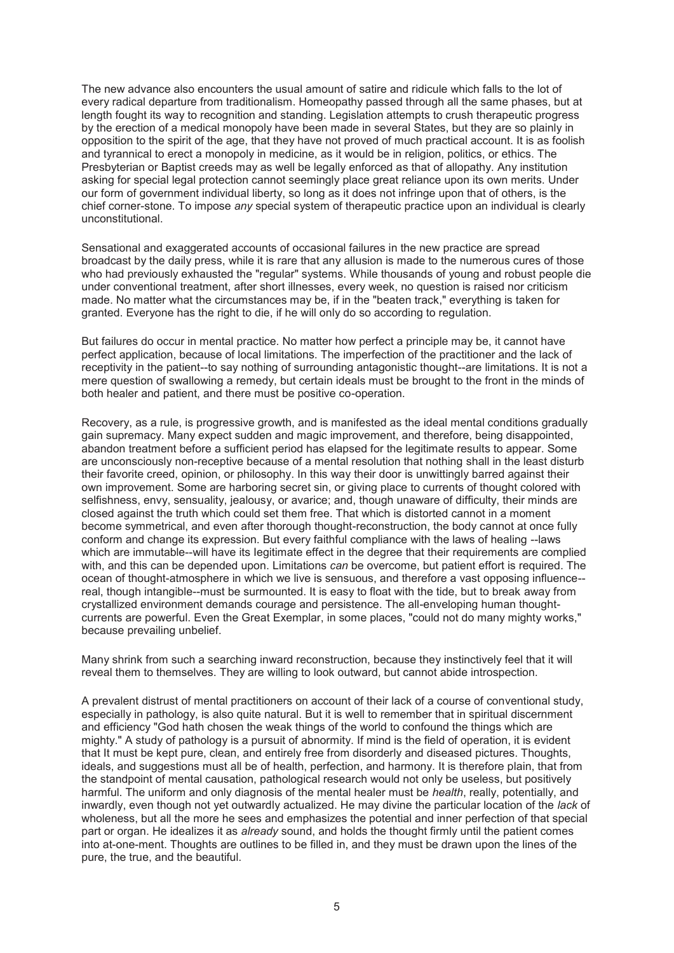The new advance also encounters the usual amount of satire and ridicule which falls to the lot of every radical departure from traditionalism. Homeopathy passed through all the same phases, but at length fought its way to recognition and standing. Legislation attempts to crush therapeutic progress by the erection of a medical monopoly have been made in several States, but they are so plainly in opposition to the spirit of the age, that they have not proved of much practical account. It is as foolish and tyrannical to erect a monopoly in medicine, as it would be in religion, politics, or ethics. The Presbyterian or Baptist creeds may as well be legally enforced as that of allopathy. Any institution asking for special legal protection cannot seemingly place great reliance upon its own merits. Under our form of government individual liberty, so long as it does not infringe upon that of others, is the chief corner-stone. To impose *any* special system of therapeutic practice upon an individual is clearly unconstitutional.

Sensational and exaggerated accounts of occasional failures in the new practice are spread broadcast by the daily press, while it is rare that any allusion is made to the numerous cures of those who had previously exhausted the "regular" systems. While thousands of young and robust people die under conventional treatment, after short illnesses, every week, no question is raised nor criticism made. No matter what the circumstances may be, if in the "beaten track," everything is taken for granted. Everyone has the right to die, if he will only do so according to regulation.

But failures do occur in mental practice. No matter how perfect a principle may be, it cannot have perfect application, because of local limitations. The imperfection of the practitioner and the lack of receptivity in the patient--to say nothing of surrounding antagonistic thought--are limitations. It is not a mere question of swallowing a remedy, but certain ideals must be brought to the front in the minds of both healer and patient, and there must be positive co-operation.

Recovery, as a rule, is progressive growth, and is manifested as the ideal mental conditions gradually gain supremacy. Many expect sudden and magic improvement, and therefore, being disappointed, abandon treatment before a sufficient period has elapsed for the legitimate results to appear. Some are unconsciously non-receptive because of a mental resolution that nothing shall in the least disturb their favorite creed, opinion, or philosophy. In this way their door is unwittingly barred against their own improvement. Some are harboring secret sin, or giving place to currents of thought colored with selfishness, envy, sensuality, jealousy, or avarice; and, though unaware of difficulty, their minds are closed against the truth which could set them free. That which is distorted cannot in a moment become symmetrical, and even after thorough thought-reconstruction, the body cannot at once fully conform and change its expression. But every faithful compliance with the laws of healing --laws which are immutable--will have its Iegitimate effect in the degree that their requirements are complied with, and this can be depended upon. Limitations *can* be overcome, but patient effort is required. The ocean of thought-atmosphere in which we live is sensuous, and therefore a vast opposing influence- real, though intangible--must be surmounted. It is easy to float with the tide, but to break away from crystallized environment demands courage and persistence. The all-enveloping human thoughtcurrents are powerful. Even the Great Exemplar, in some places, "could not do many mighty works," because prevailing unbelief.

Many shrink from such a searching inward reconstruction, because they instinctively feel that it will reveal them to themselves. They are willing to look outward, but cannot abide introspection.

A prevalent distrust of mental practitioners on account of their lack of a course of conventional study, especially in pathology, is also quite natural. But it is well to remember that in spiritual discernment and efficiency "God hath chosen the weak things of the world to confound the things which are mighty." A study of pathology is a pursuit of abnormity. If mind is the field of operation, it is evident that It must be kept pure, clean, and entirely free from disorderly and diseased pictures. Thoughts, ideals, and suggestions must all be of health, perfection, and harmony. It is therefore plain, that from the standpoint of mental causation, pathological research would not only be useless, but positively harmful. The uniform and only diagnosis of the mental healer must be *health*, really, potentially, and inwardly, even though not yet outwardly actualized. He may divine the particular location of the *lack* of wholeness, but all the more he sees and emphasizes the potential and inner perfection of that special part or organ. He idealizes it as *already* sound, and holds the thought firmly until the patient comes into at-one-ment. Thoughts are outlines to be filled in, and they must be drawn upon the lines of the pure, the true, and the beautiful.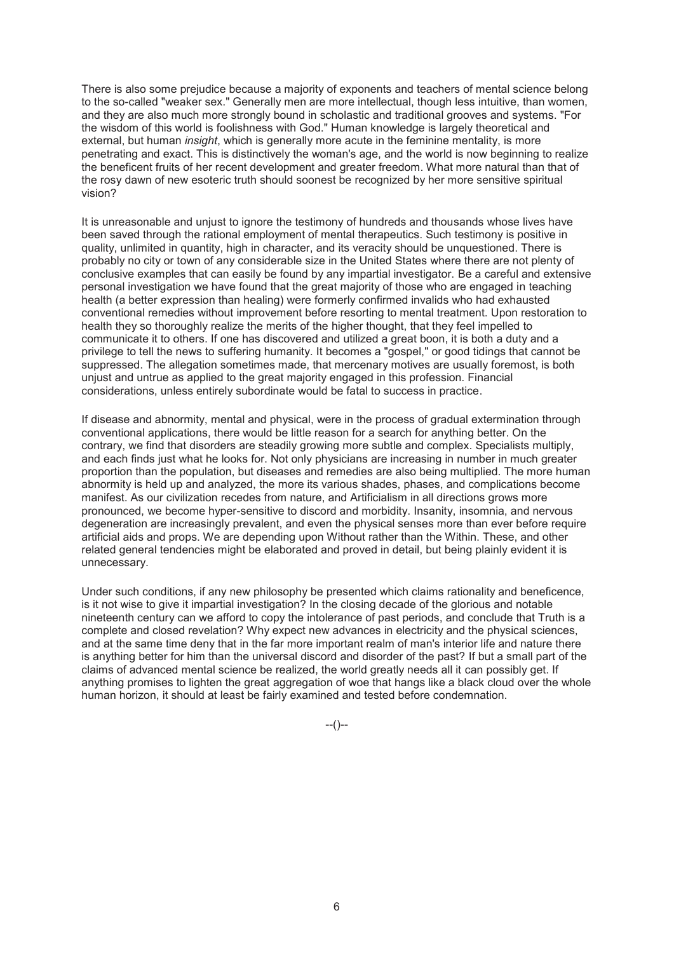There is also some prejudice because a majority of exponents and teachers of mental science belong to the so-called "weaker sex." Generally men are more intellectual, though less intuitive, than women, and they are also much more strongly bound in scholastic and traditional grooves and systems. "For the wisdom of this world is foolishness with God." Human knowledge is largely theoretical and external, but human *insight*, which is generally more acute in the feminine mentality, is more penetrating and exact. This is distinctively the woman's age, and the world is now beginning to realize the beneficent fruits of her recent development and greater freedom. What more natural than that of the rosy dawn of new esoteric truth should soonest be recognized by her more sensitive spiritual vision?

It is unreasonable and unjust to ignore the testimony of hundreds and thousands whose lives have been saved through the rational employment of mental therapeutics. Such testimony is positive in quality, unlimited in quantity, high in character, and its veracity should be unquestioned. There is probably no city or town of any considerable size in the United States where there are not plenty of conclusive examples that can easily be found by any impartial investigator. Be a careful and extensive personal investigation we have found that the great majority of those who are engaged in teaching health (a better expression than healing) were formerly confirmed invalids who had exhausted conventional remedies without improvement before resorting to mental treatment. Upon restoration to health they so thoroughly realize the merits of the higher thought, that they feel impelled to communicate it to others. If one has discovered and utilized a great boon, it is both a duty and a privilege to tell the news to suffering humanity. It becomes a "gospel," or good tidings that cannot be suppressed. The allegation sometimes made, that mercenary motives are usually foremost, is both unjust and untrue as applied to the great majority engaged in this profession. Financial considerations, unless entirely subordinate would be fatal to success in practice.

If disease and abnormity, mental and physical, were in the process of gradual extermination through conventional applications, there would be little reason for a search for anything better. On the contrary, we find that disorders are steadily growing more subtle and complex. Specialists multiply, and each finds just what he looks for. Not only physicians are increasing in number in much greater proportion than the population, but diseases and remedies are also being multiplied. The more human abnormity is held up and analyzed, the more its various shades, phases, and complications become manifest. As our civilization recedes from nature, and Artificialism in all directions grows more pronounced, we become hyper-sensitive to discord and morbidity. Insanity, insomnia, and nervous degeneration are increasingly prevalent, and even the physical senses more than ever before require artificial aids and props. We are depending upon Without rather than the Within. These, and other related general tendencies might be elaborated and proved in detail, but being plainly evident it is unnecessary.

Under such conditions, if any new philosophy be presented which claims rationality and beneficence, is it not wise to give it impartial investigation? In the closing decade of the glorious and notable nineteenth century can we afford to copy the intolerance of past periods, and conclude that Truth is a complete and closed revelation? Why expect new advances in electricity and the physical sciences, and at the same time deny that in the far more important realm of man's interior life and nature there is anything better for him than the universal discord and disorder of the past? If but a small part of the claims of advanced mental science be realized, the world greatly needs all it can possibly get. If anything promises to lighten the great aggregation of woe that hangs like a black cloud over the whole human horizon, it should at least be fairly examined and tested before condemnation.

--()--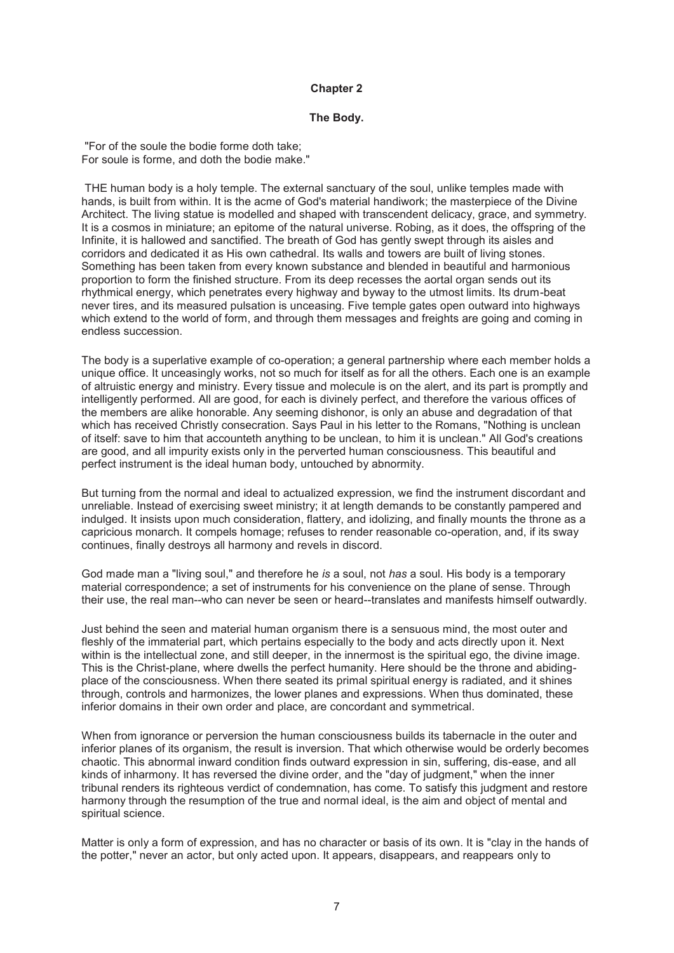### **Chapter 2**

### **The Body.**

 "For of the soule the bodie forme doth take; For soule is forme, and doth the bodie make."

 THE human body is a holy temple. The external sanctuary of the soul, unlike temples made with hands, is built from within. It is the acme of God's material handiwork; the masterpiece of the Divine Architect. The living statue is modelled and shaped with transcendent delicacy, grace, and symmetry. It is a cosmos in miniature; an epitome of the natural universe. Robing, as it does, the offspring of the Infinite, it is hallowed and sanctified. The breath of God has gently swept through its aisles and corridors and dedicated it as His own cathedral. Its walls and towers are built of living stones. Something has been taken from every known substance and blended in beautiful and harmonious proportion to form the finished structure. From its deep recesses the aortal organ sends out its rhythmical energy, which penetrates every highway and byway to the utmost limits. Its drum-beat never tires, and its measured pulsation is unceasing. Five temple gates open outward into highways which extend to the world of form, and through them messages and freights are going and coming in endless succession.

The body is a superlative example of co-operation; a general partnership where each member holds a unique office. It unceasingly works, not so much for itself as for all the others. Each one is an example of altruistic energy and ministry. Every tissue and molecule is on the alert, and its part is promptly and intelligently performed. All are good, for each is divinely perfect, and therefore the various offices of the members are alike honorable. Any seeming dishonor, is only an abuse and degradation of that which has received Christly consecration. Says Paul in his letter to the Romans, "Nothing is unclean of itself: save to him that accounteth anything to be unclean, to him it is unclean." All God's creations are good, and all impurity exists only in the perverted human consciousness. This beautiful and perfect instrument is the ideal human body, untouched by abnormity.

But turning from the normal and ideal to actualized expression, we find the instrument discordant and unreliable. Instead of exercising sweet ministry; it at length demands to be constantly pampered and indulged. It insists upon much consideration, flattery, and idolizing, and finally mounts the throne as a capricious monarch. It compels homage; refuses to render reasonable co-operation, and, if its sway continues, finally destroys all harmony and revels in discord.

God made man a "living soul," and therefore he *is* a soul, not *has* a soul. His body is a temporary material correspondence; a set of instruments for his convenience on the plane of sense. Through their use, the real man--who can never be seen or heard--translates and manifests himself outwardly.

Just behind the seen and material human organism there is a sensuous mind, the most outer and fleshly of the immaterial part, which pertains especially to the body and acts directly upon it. Next within is the intellectual zone, and still deeper, in the innermost is the spiritual ego, the divine image. This is the Christ-plane, where dwells the perfect humanity. Here should be the throne and abidingplace of the consciousness. When there seated its primal spiritual energy is radiated, and it shines through, controls and harmonizes, the lower planes and expressions. When thus dominated, these inferior domains in their own order and place, are concordant and symmetrical.

When from ignorance or perversion the human consciousness builds its tabernacle in the outer and inferior planes of its organism, the result is inversion. That which otherwise would be orderly becomes chaotic. This abnormal inward condition finds outward expression in sin, suffering, dis-ease, and all kinds of inharmony. It has reversed the divine order, and the "day of judgment," when the inner tribunal renders its righteous verdict of condemnation, has come. To satisfy this judgment and restore harmony through the resumption of the true and normal ideal, is the aim and object of mental and spiritual science.

Matter is only a form of expression, and has no character or basis of its own. It is "clay in the hands of the potter," never an actor, but only acted upon. It appears, disappears, and reappears only to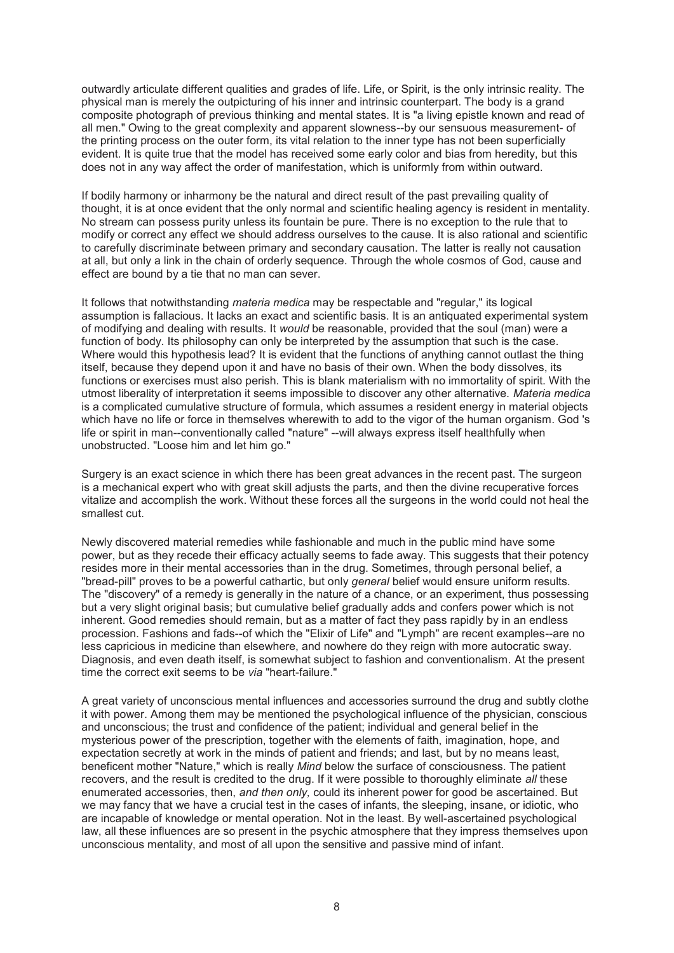outwardly articulate different qualities and grades of life. Life, or Spirit, is the only intrinsic reality. The physical man is merely the outpicturing of his inner and intrinsic counterpart. The body is a grand composite photograph of previous thinking and mental states. It is "a living epistle known and read of all men." Owing to the great complexity and apparent slowness--by our sensuous measurement- of the printing process on the outer form, its vital relation to the inner type has not been superficially evident. It is quite true that the model has received some early color and bias from heredity, but this does not in any way affect the order of manifestation, which is uniformly from within outward.

If bodily harmony or inharmony be the natural and direct result of the past prevailing quality of thought, it is at once evident that the only normal and scientific healing agency is resident in mentality. No stream can possess purity unless its fountain be pure. There is no exception to the rule that to modify or correct any effect we should address ourselves to the cause. It is also rational and scientific to carefully discriminate between primary and secondary causation. The latter is really not causation at all, but only a link in the chain of orderly sequence. Through the whole cosmos of God, cause and effect are bound by a tie that no man can sever.

It follows that notwithstanding *materia medica* may be respectable and "regular," its logical assumption is fallacious. It lacks an exact and scientific basis. It is an antiquated experimental system of modifying and dealing with results. It *would* be reasonable, provided that the soul (man) were a function of body. Its philosophy can only be interpreted by the assumption that such is the case. Where would this hypothesis lead? It is evident that the functions of anything cannot outlast the thing itself, because they depend upon it and have no basis of their own. When the body dissolves, its functions or exercises must also perish. This is blank materialism with no immortality of spirit. With the utmost liberality of interpretation it seems impossible to discover any other alternative. *Materia medica*  is a complicated cumulative structure of formula, which assumes a resident energy in material objects which have no life or force in themselves wherewith to add to the vigor of the human organism. God 's life or spirit in man--conventionally called "nature" --will always express itself healthfully when unobstructed. "Loose him and let him go."

Surgery is an exact science in which there has been great advances in the recent past. The surgeon is a mechanical expert who with great skill adjusts the parts, and then the divine recuperative forces vitalize and accomplish the work. Without these forces all the surgeons in the world could not heal the smallest cut.

Newly discovered material remedies while fashionable and much in the public mind have some power, but as they recede their efficacy actually seems to fade away. This suggests that their potency resides more in their mental accessories than in the drug. Sometimes, through personal belief, a "bread-pill" proves to be a powerful cathartic, but only *general* belief would ensure uniform results. The "discovery" of a remedy is generally in the nature of a chance, or an experiment, thus possessing but a very slight original basis; but cumulative belief gradually adds and confers power which is not inherent. Good remedies should remain, but as a matter of fact they pass rapidly by in an endless procession. Fashions and fads--of which the "Elixir of Life" and "Lymph" are recent examples--are no less capricious in medicine than elsewhere, and nowhere do they reign with more autocratic sway. Diagnosis, and even death itself, is somewhat subject to fashion and conventionalism. At the present time the correct exit seems to be *via* "heart-failure."

A great variety of unconscious mental influences and accessories surround the drug and subtly clothe it with power. Among them may be mentioned the psychological influence of the physician, conscious and unconscious; the trust and confidence of the patient; individual and general belief in the mysterious power of the prescription, together with the elements of faith, imagination, hope, and expectation secretly at work in the minds of patient and friends; and last, but by no means least, beneficent mother "Nature," which is really *Mind* below the surface of consciousness. The patient recovers, and the result is credited to the drug. If it were possible to thoroughly eliminate *all* these enumerated accessories, then, *and then only,* could its inherent power for good be ascertained. But we may fancy that we have a crucial test in the cases of infants, the sleeping, insane, or idiotic, who are incapable of knowledge or mental operation. Not in the least. By well-ascertained psychological law, all these influences are so present in the psychic atmosphere that they impress themselves upon unconscious mentality, and most of all upon the sensitive and passive mind of infant.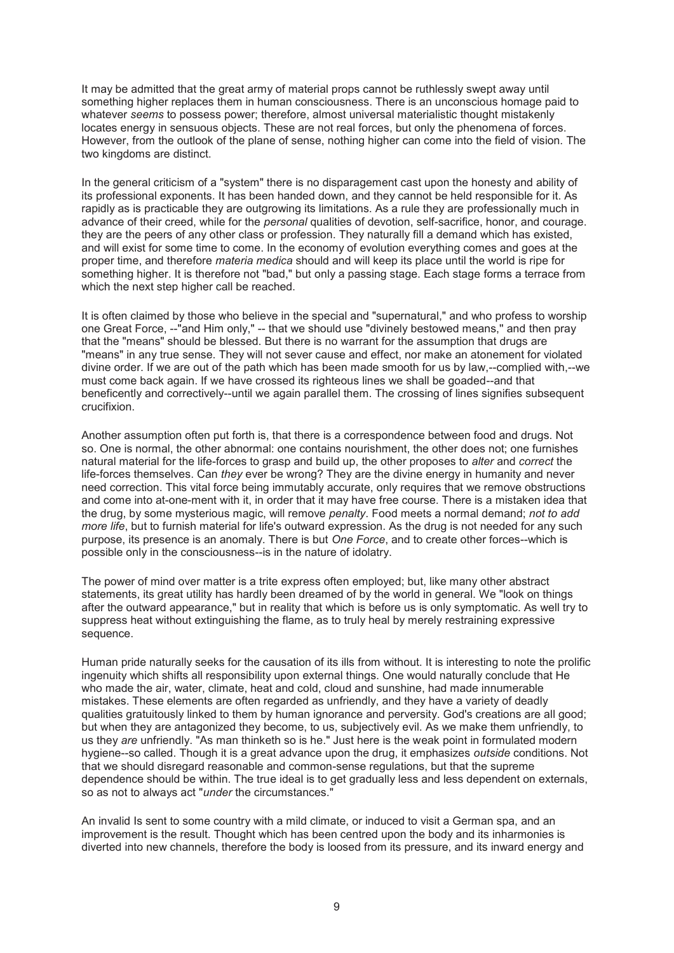It may be admitted that the great army of material props cannot be ruthlessly swept away until something higher replaces them in human consciousness. There is an unconscious homage paid to whatever *seems* to possess power; therefore, almost universal materialistic thought mistakenly locates energy in sensuous objects. These are not real forces, but only the phenomena of forces. However, from the outlook of the plane of sense, nothing higher can come into the field of vision. The two kingdoms are distinct.

In the general criticism of a "system" there is no disparagement cast upon the honesty and ability of its professional exponents. It has been handed down, and they cannot be held responsible for it. As rapidly as is practicable they are outgrowing its limitations. As a rule they are professionally much in advance of their creed, while for the *personal* qualities of devotion, self-sacrifice, honor, and courage. they are the peers of any other class or profession. They naturally fill a demand which has existed, and will exist for some time to come. In the economy of evolution everything comes and goes at the proper time, and therefore *materia medica* should and will keep its place until the world is ripe for something higher. It is therefore not "bad," but only a passing stage. Each stage forms a terrace from which the next step higher call be reached.

It is often claimed by those who believe in the special and "supernatural," and who profess to worship one Great Force, --"and Him only," -- that we should use "divinely bestowed means,'' and then pray that the "means" should be blessed. But there is no warrant for the assumption that drugs are "means" in any true sense. They will not sever cause and effect, nor make an atonement for violated divine order. If we are out of the path which has been made smooth for us by law,--complied with,--we must come back again. If we have crossed its righteous lines we shall be goaded--and that beneficently and correctively--until we again parallel them. The crossing of lines signifies subsequent crucifixion.

Another assumption often put forth is, that there is a correspondence between food and drugs. Not so. One is normal, the other abnormal: one contains nourishment, the other does not; one furnishes natural material for the life-forces to grasp and build up, the other proposes to *alter* and *correct* the life-forces themselves. Can *they* ever be wrong? They are the divine energy in humanity and never need correction. This vital force being immutably accurate, only requires that we remove obstructions and come into at-one-ment with it, in order that it may have free course. There is a mistaken idea that the drug, by some mysterious magic, will remove *penalty*. Food meets a normal demand; *not to add more life*, but to furnish material for life's outward expression. As the drug is not needed for any such purpose, its presence is an anomaly. There is but *One Force*, and to create other forces--which is possible only in the consciousness--is in the nature of idolatry.

The power of mind over matter is a trite express often employed; but, like many other abstract statements, its great utility has hardly been dreamed of by the world in general. We "look on things after the outward appearance," but in reality that which is before us is only symptomatic. As well try to suppress heat without extinguishing the flame, as to truly heal by merely restraining expressive sequence.

Human pride naturally seeks for the causation of its ills from without. It is interesting to note the prolific ingenuity which shifts all responsibility upon external things. One would naturally conclude that He who made the air, water, climate, heat and cold, cloud and sunshine, had made innumerable mistakes. These elements are often regarded as unfriendly, and they have a variety of deadly qualities gratuitously linked to them by human ignorance and perversity. God's creations are all good; but when they are antagonized they become, to us, subjectively evil. As we make them unfriendly, to us they *are* unfriendly. "As man thinketh so is he." Just here is the weak point in formulated modern hygiene--so called. Though it is a great advance upon the drug, it emphasizes *outside* conditions. Not that we should disregard reasonable and common-sense regulations, but that the supreme dependence should be within. The true ideal is to get gradually less and less dependent on externals, so as not to always act "*under* the circumstances."

An invalid Is sent to some country with a mild climate, or induced to visit a German spa, and an improvement is the result. Thought which has been centred upon the body and its inharmonies is diverted into new channels, therefore the body is loosed from its pressure, and its inward energy and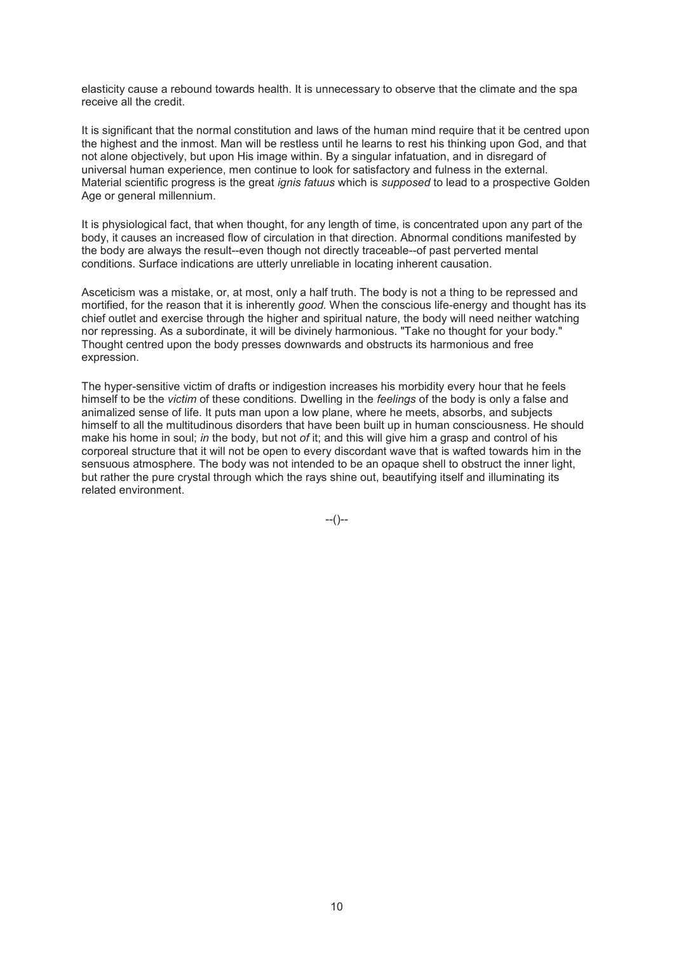elasticity cause a rebound towards health. It is unnecessary to observe that the climate and the spa receive all the credit.

It is significant that the normal constitution and laws of the human mind require that it be centred upon the highest and the inmost. Man will be restless until he learns to rest his thinking upon God, and that not alone objectively, but upon His image within. By a singular infatuation, and in disregard of universal human experience, men continue to look for satisfactory and fulness in the external. Material scientific progress is the great *ignis fatuus* which is *supposed* to lead to a prospective Golden Age or general millennium.

It is physiological fact, that when thought, for any length of time, is concentrated upon any part of the body, it causes an increased flow of circulation in that direction. Abnormal conditions manifested by the body are always the result--even though not directly traceable--of past perverted mental conditions. Surface indications are utterly unreliable in locating inherent causation.

Asceticism was a mistake, or, at most, only a half truth. The body is not a thing to be repressed and mortified, for the reason that it is inherently *good.* When the conscious life-energy and thought has its chief outlet and exercise through the higher and spiritual nature, the body will need neither watching nor repressing. As a subordinate, it will be divinely harmonious. "Take no thought for your body." Thought centred upon the body presses downwards and obstructs its harmonious and free expression.

The hyper-sensitive victim of drafts or indigestion increases his morbidity every hour that he feels himself to be the *victim* of these conditions. Dwelling in the *feelings* of the body is only a false and animalized sense of life. It puts man upon a low plane, where he meets, absorbs, and subjects himself to all the multitudinous disorders that have been built up in human consciousness. He should make his home in soul; *in* the body, but not *of* it; and this will give him a grasp and control of his corporeal structure that it will not be open to every discordant wave that is wafted towards him in the sensuous atmosphere. The body was not intended to be an opaque shell to obstruct the inner light, but rather the pure crystal through which the rays shine out, beautifying itself and illuminating its related environment.

 $-(-)$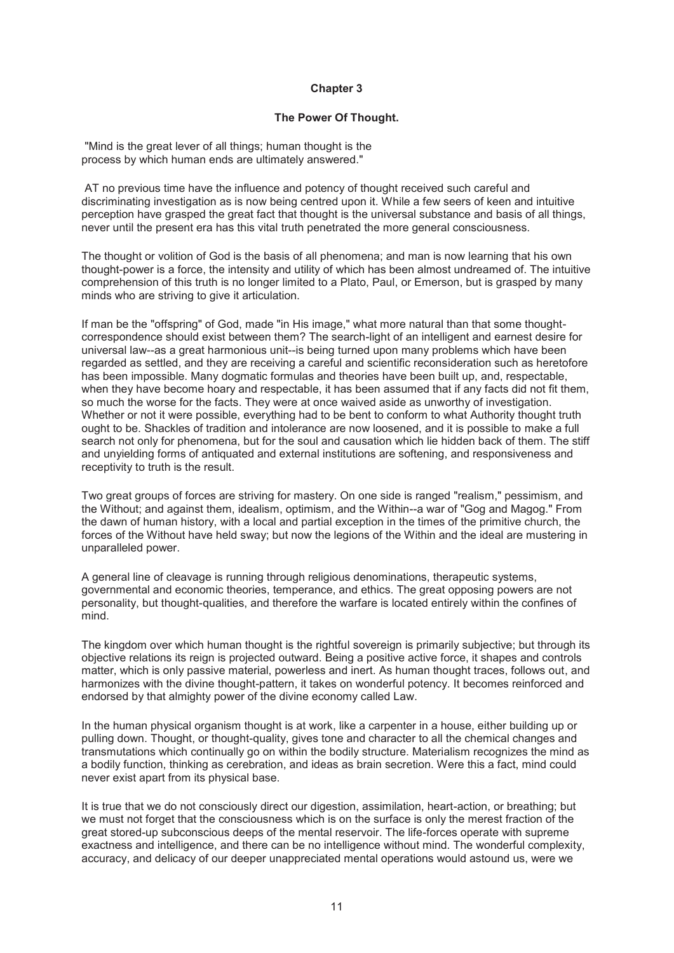### **Chapter 3**

### **The Power Of Thought.**

 "Mind is the great lever of all things; human thought is the process by which human ends are ultimately answered."

 AT no previous time have the influence and potency of thought received such careful and discriminating investigation as is now being centred upon it. While a few seers of keen and intuitive perception have grasped the great fact that thought is the universal substance and basis of all things, never until the present era has this vital truth penetrated the more general consciousness.

The thought or volition of God is the basis of all phenomena; and man is now learning that his own thought-power is a force, the intensity and utility of which has been almost undreamed of. The intuitive comprehension of this truth is no longer limited to a Plato, Paul, or Emerson, but is grasped by many minds who are striving to give it articulation.

If man be the "offspring" of God, made "in His image," what more natural than that some thoughtcorrespondence should exist between them? The search-light of an intelligent and earnest desire for universal law--as a great harmonious unit--is being turned upon many problems which have been regarded as settled, and they are receiving a careful and scientific reconsideration such as heretofore has been impossible. Many dogmatic formulas and theories have been built up, and, respectable, when they have become hoary and respectable, it has been assumed that if any facts did not fit them, so much the worse for the facts. They were at once waived aside as unworthy of investigation. Whether or not it were possible, everything had to be bent to conform to what Authority thought truth ought to be. Shackles of tradition and intolerance are now loosened, and it is possible to make a full search not only for phenomena, but for the soul and causation which lie hidden back of them. The stiff and unyielding forms of antiquated and external institutions are softening, and responsiveness and receptivity to truth is the result.

Two great groups of forces are striving for mastery. On one side is ranged "realism," pessimism, and the Without; and against them, idealism, optimism, and the Within--a war of "Gog and Magog." From the dawn of human history, with a local and partial exception in the times of the primitive church, the forces of the Without have held sway; but now the legions of the Within and the ideal are mustering in unparalleled power.

A general line of cleavage is running through religious denominations, therapeutic systems, governmental and economic theories, temperance, and ethics. The great opposing powers are not personality, but thought-qualities, and therefore the warfare is located entirely within the confines of mind.

The kingdom over which human thought is the rightful sovereign is primarily subjective; but through its objective relations its reign is projected outward. Being a positive active force, it shapes and controls matter, which is only passive material, powerless and inert. As human thought traces, follows out, and harmonizes with the divine thought-pattern, it takes on wonderful potency. It becomes reinforced and endorsed by that almighty power of the divine economy called Law.

In the human physical organism thought is at work, like a carpenter in a house, either building up or pulling down. Thought, or thought-quality, gives tone and character to all the chemical changes and transmutations which continually go on within the bodily structure. Materialism recognizes the mind as a bodily function, thinking as cerebration, and ideas as brain secretion. Were this a fact, mind could never exist apart from its physical base.

It is true that we do not consciously direct our digestion, assimilation, heart-action, or breathing; but we must not forget that the consciousness which is on the surface is only the merest fraction of the great stored-up subconscious deeps of the mental reservoir. The life-forces operate with supreme exactness and intelligence, and there can be no intelligence without mind. The wonderful complexity, accuracy, and delicacy of our deeper unappreciated mental operations would astound us, were we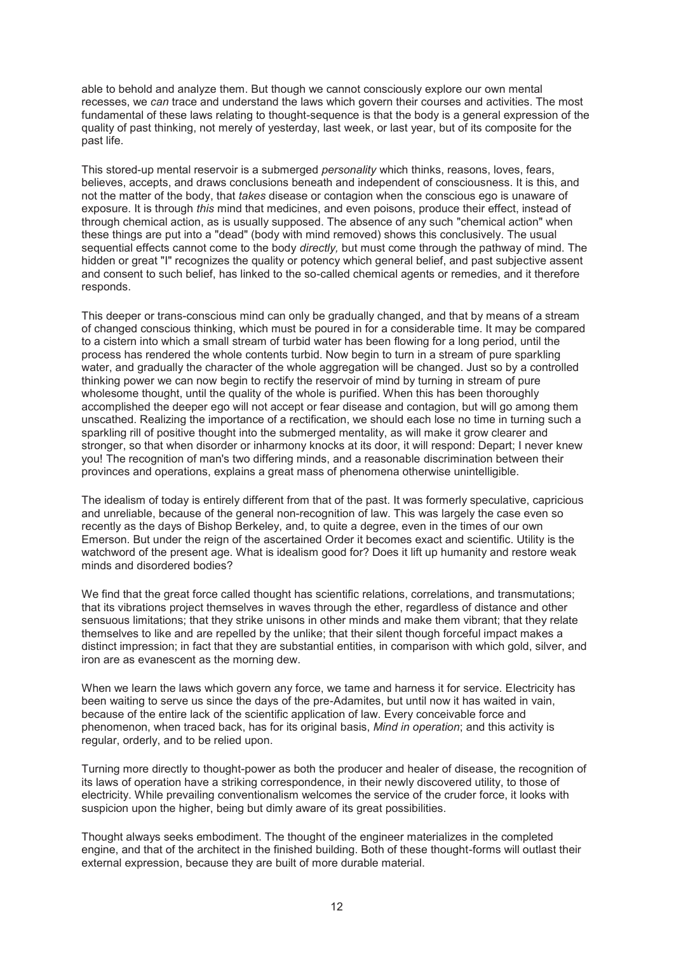able to behold and analyze them. But though we cannot consciously explore our own mental recesses, we *can* trace and understand the laws which govern their courses and activities. The most fundamental of these laws relating to thought-sequence is that the body is a general expression of the quality of past thinking, not merely of yesterday, last week, or last year, but of its composite for the past life.

This stored-up mental reservoir is a submerged *personality* which thinks, reasons, loves, fears, believes, accepts, and draws conclusions beneath and independent of consciousness. It is this, and not the matter of the body, that *takes* disease or contagion when the conscious ego is unaware of exposure. It is through *this* mind that medicines, and even poisons, produce their effect, instead of through chemical action, as is usually supposed. The absence of any such "chemical action" when these things are put into a "dead" (body with mind removed) shows this conclusively. The usual sequential effects cannot come to the body *directly,* but must come through the pathway of mind. The hidden or great "I" recognizes the quality or potency which general belief, and past subjective assent and consent to such belief, has linked to the so-called chemical agents or remedies, and it therefore responds.

This deeper or trans-conscious mind can only be gradually changed, and that by means of a stream of changed conscious thinking, which must be poured in for a considerable time. It may be compared to a cistern into which a small stream of turbid water has been flowing for a long period, until the process has rendered the whole contents turbid. Now begin to turn in a stream of pure sparkling water, and gradually the character of the whole aggregation will be changed. Just so by a controlled thinking power we can now begin to rectify the reservoir of mind by turning in stream of pure wholesome thought, until the quality of the whole is purified. When this has been thoroughly accomplished the deeper ego will not accept or fear disease and contagion, but will go among them unscathed. Realizing the importance of a rectification, we should each lose no time in turning such a sparkling rill of positive thought into the submerged mentality, as will make it grow clearer and stronger, so that when disorder or inharmony knocks at its door, it will respond: Depart; I never knew you! The recognition of man's two differing minds, and a reasonable discrimination between their provinces and operations, explains a great mass of phenomena otherwise unintelligible.

The idealism of today is entirely different from that of the past. It was formerly speculative, capricious and unreliable, because of the general non-recognition of law. This was largely the case even so recently as the days of Bishop Berkeley, and, to quite a degree, even in the times of our own Emerson. But under the reign of the ascertained Order it becomes exact and scientific. Utility is the watchword of the present age. What is idealism good for? Does it lift up humanity and restore weak minds and disordered bodies?

We find that the great force called thought has scientific relations, correlations, and transmutations; that its vibrations project themselves in waves through the ether, regardless of distance and other sensuous limitations; that they strike unisons in other minds and make them vibrant; that they relate themselves to like and are repelled by the unlike; that their silent though forceful impact makes a distinct impression; in fact that they are substantial entities, in comparison with which gold, silver, and iron are as evanescent as the morning dew.

When we learn the laws which govern any force, we tame and harness it for service. Electricity has been waiting to serve us since the days of the pre-Adamites, but until now it has waited in vain, because of the entire lack of the scientific application of law. Every conceivable force and phenomenon, when traced back, has for its original basis, *Mind in operation*; and this activity is regular, orderly, and to be relied upon.

Turning more directly to thought-power as both the producer and healer of disease, the recognition of its laws of operation have a striking correspondence, in their newly discovered utility, to those of electricity. While prevailing conventionalism welcomes the service of the cruder force, it looks with suspicion upon the higher, being but dimly aware of its great possibilities.

Thought always seeks embodiment. The thought of the engineer materializes in the completed engine, and that of the architect in the finished building. Both of these thought-forms will outlast their external expression, because they are built of more durable material.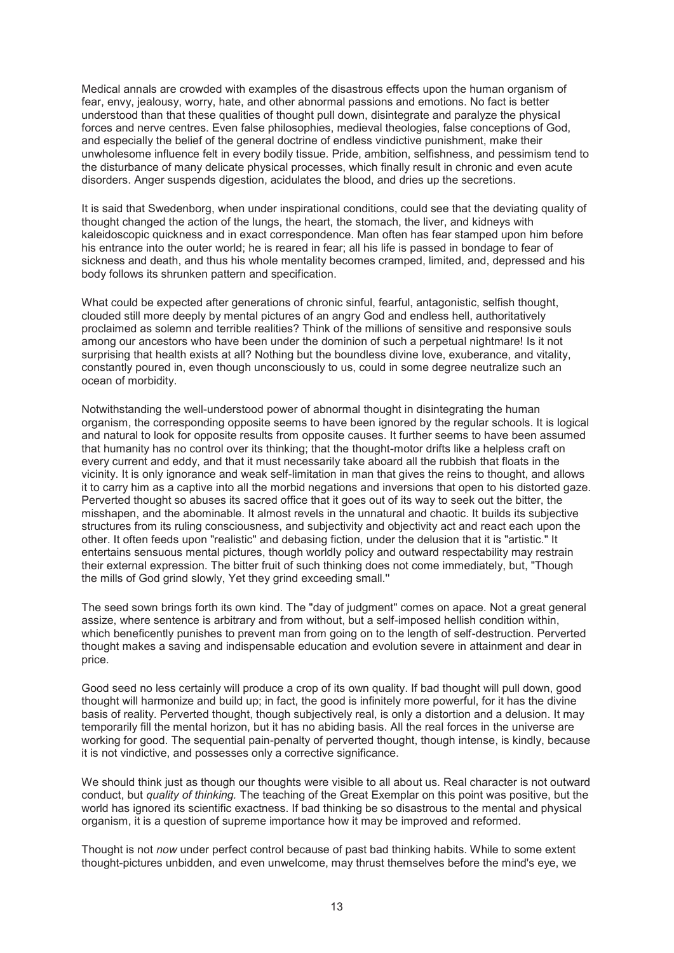Medical annals are crowded with examples of the disastrous effects upon the human organism of fear, envy, jealousy, worry, hate, and other abnormal passions and emotions. No fact is better understood than that these qualities of thought pull down, disintegrate and paralyze the physical forces and nerve centres. Even false philosophies, medieval theologies, false conceptions of God, and especially the belief of the general doctrine of endless vindictive punishment, make their unwholesome influence felt in every bodily tissue. Pride, ambition, selfishness, and pessimism tend to the disturbance of many delicate physical processes, which finally result in chronic and even acute disorders. Anger suspends digestion, acidulates the blood, and dries up the secretions.

It is said that Swedenborg, when under inspirational conditions, could see that the deviating quality of thought changed the action of the lungs, the heart, the stomach, the liver, and kidneys with kaleidoscopic quickness and in exact correspondence. Man often has fear stamped upon him before his entrance into the outer world; he is reared in fear; all his life is passed in bondage to fear of sickness and death, and thus his whole mentality becomes cramped, limited, and, depressed and his body follows its shrunken pattern and specification.

What could be expected after generations of chronic sinful, fearful, antagonistic, selfish thought, clouded still more deeply by mental pictures of an angry God and endless hell, authoritatively proclaimed as solemn and terrible realities? Think of the millions of sensitive and responsive souls among our ancestors who have been under the dominion of such a perpetual nightmare! Is it not surprising that health exists at all? Nothing but the boundless divine love, exuberance, and vitality, constantly poured in, even though unconsciously to us, could in some degree neutralize such an ocean of morbidity.

Notwithstanding the well-understood power of abnormal thought in disintegrating the human organism, the corresponding opposite seems to have been ignored by the regular schools. It is logical and natural to look for opposite results from opposite causes. It further seems to have been assumed that humanity has no control over its thinking; that the thought-motor drifts like a helpless craft on every current and eddy, and that it must necessarily take aboard all the rubbish that floats in the vicinity. It is only ignorance and weak self-limitation in man that gives the reins to thought, and allows it to carry him as a captive into all the morbid negations and inversions that open to his distorted gaze. Perverted thought so abuses its sacred office that it goes out of its way to seek out the bitter, the misshapen, and the abominable. It almost revels in the unnatural and chaotic. It builds its subjective structures from its ruling consciousness, and subjectivity and objectivity act and react each upon the other. It often feeds upon "realistic" and debasing fiction, under the delusion that it is "artistic." It entertains sensuous mental pictures, though worldly policy and outward respectability may restrain their external expression. The bitter fruit of such thinking does not come immediately, but, "Though the mills of God grind slowly, Yet they grind exceeding small.''

The seed sown brings forth its own kind. The "day of judgment" comes on apace. Not a great general assize, where sentence is arbitrary and from without, but a self-imposed hellish condition within, which beneficently punishes to prevent man from going on to the length of self-destruction. Perverted thought makes a saving and indispensable education and evolution severe in attainment and dear in price.

Good seed no less certainly will produce a crop of its own quality. If bad thought will pull down, good thought will harmonize and build up; in fact, the good is infinitely more powerful, for it has the divine basis of reality. Perverted thought, though subjectively real, is only a distortion and a delusion. It may temporarily fill the mental horizon, but it has no abiding basis. All the real forces in the universe are working for good. The sequential pain-penalty of perverted thought, though intense, is kindly, because it is not vindictive, and possesses only a corrective significance.

We should think just as though our thoughts were visible to all about us. Real character is not outward conduct, but *quality of thinking.* The teaching of the Great Exemplar on this point was positive, but the world has ignored its scientific exactness. If bad thinking be so disastrous to the mental and physical organism, it is a question of supreme importance how it may be improved and reformed.

Thought is not *now* under perfect control because of past bad thinking habits. While to some extent thought-pictures unbidden, and even unwelcome, may thrust themselves before the mind's eye, we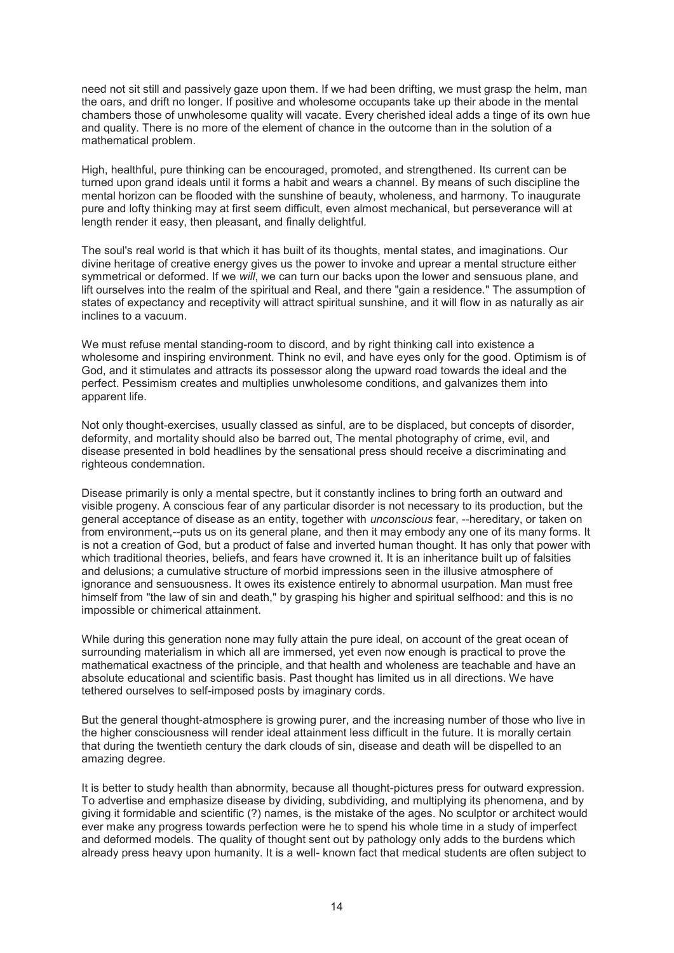need not sit still and passively gaze upon them. If we had been drifting, we must grasp the helm, man the oars, and drift no longer. If positive and wholesome occupants take up their abode in the mental chambers those of unwholesome quality will vacate. Every cherished ideal adds a tinge of its own hue and quality. There is no more of the element of chance in the outcome than in the solution of a mathematical problem.

High, healthful, pure thinking can be encouraged, promoted, and strengthened. Its current can be turned upon grand ideals until it forms a habit and wears a channel. By means of such discipline the mental horizon can be flooded with the sunshine of beauty, wholeness, and harmony. To inaugurate pure and lofty thinking may at first seem difficult, even almost mechanical, but perseverance will at length render it easy, then pleasant, and finally delightful.

The soul's real world is that which it has built of its thoughts, mental states, and imaginations. Our divine heritage of creative energy gives us the power to invoke and uprear a mental structure either symmetrical or deformed. If we *will*, we can turn our backs upon the lower and sensuous plane, and lift ourselves into the realm of the spiritual and Real, and there "gain a residence." The assumption of states of expectancy and receptivity will attract spiritual sunshine, and it will flow in as naturally as air inclines to a vacuum.

We must refuse mental standing-room to discord, and by right thinking call into existence a wholesome and inspiring environment. Think no evil, and have eyes only for the good. Optimism is of God, and it stimulates and attracts its possessor along the upward road towards the ideal and the perfect. Pessimism creates and multiplies unwholesome conditions, and galvanizes them into apparent life.

Not only thought-exercises, usually classed as sinful, are to be displaced, but concepts of disorder, deformity, and mortality should also be barred out, The mental photography of crime, evil, and disease presented in bold headlines by the sensational press should receive a discriminating and righteous condemnation.

Disease primarily is only a mental spectre, but it constantly inclines to bring forth an outward and visible progeny. A conscious fear of any particular disorder is not necessary to its production, but the general acceptance of disease as an entity, together with *unconscious* fear, --hereditary, or taken on from environment,--puts us on its general plane, and then it may embody any one of its many forms. It is not a creation of God, but a product of false and inverted human thought. It has only that power with which traditional theories, beliefs, and fears have crowned it. It is an inheritance built up of falsities and delusions; a cumulative structure of morbid impressions seen in the illusive atmosphere of ignorance and sensuousness. It owes its existence entirely to abnormal usurpation. Man must free himself from "the law of sin and death," by grasping his higher and spiritual selfhood: and this is no impossible or chimerical attainment.

While during this generation none may fully attain the pure ideal, on account of the great ocean of surrounding materialism in which all are immersed, yet even now enough is practical to prove the mathematical exactness of the principle, and that health and wholeness are teachable and have an absolute educational and scientific basis. Past thought has limited us in all directions. We have tethered ourselves to self-imposed posts by imaginary cords.

But the general thought-atmosphere is growing purer, and the increasing number of those who live in the higher consciousness will render ideal attainment less difficult in the future. It is morally certain that during the twentieth century the dark clouds of sin, disease and death will be dispelled to an amazing degree.

It is better to study health than abnormity, because all thought-pictures press for outward expression. To advertise and emphasize disease by dividing, subdividing, and multiplying its phenomena, and by giving it formidable and scientific (?) names, is the mistake of the ages. No sculptor or architect would ever make any progress towards perfection were he to spend his whole time in a study of imperfect and deformed models. The quality of thought sent out by pathology only adds to the burdens which already press heavy upon humanity. It is a well- known fact that medical students are often subject to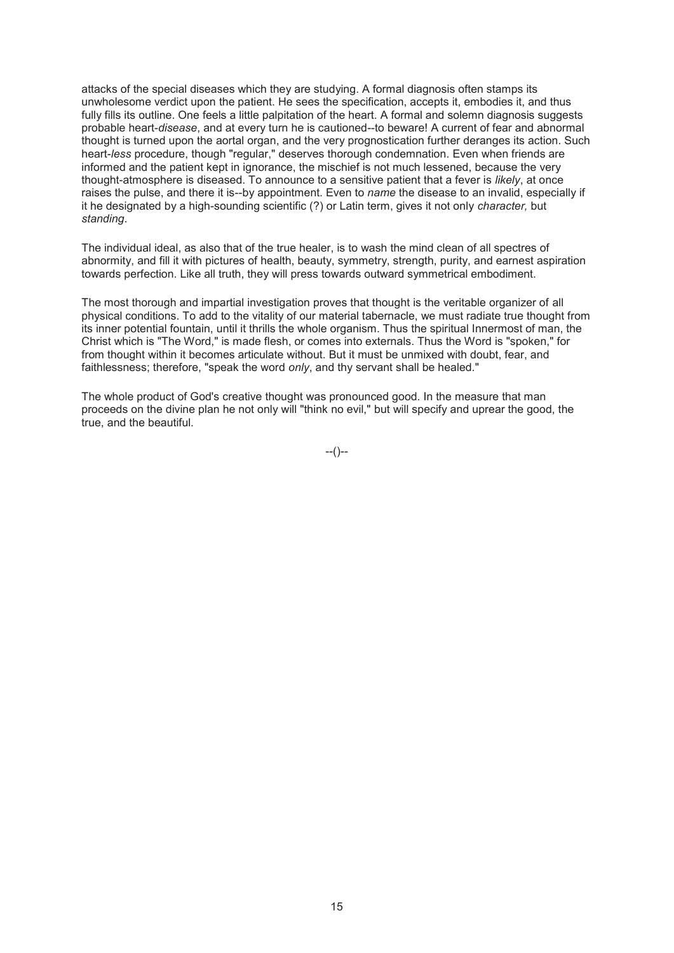attacks of the special diseases which they are studying. A formal diagnosis often stamps its unwholesome verdict upon the patient. He sees the specification, accepts it, embodies it, and thus fully fills its outline. One feels a little palpitation of the heart. A formal and solemn diagnosis suggests probable heart-*disease*, and at every turn he is cautioned--to beware! A current of fear and abnormal thought is turned upon the aortal organ, and the very prognostication further deranges its action. Such heart-*less* procedure, though "regular," deserves thorough condemnation. Even when friends are informed and the patient kept in ignorance, the mischief is not much lessened, because the very thought-atmosphere is diseased. To announce to a sensitive patient that a fever is *likely*, at once raises the pulse, and there it is--by appointment. Even to *name* the disease to an invalid, especially if it he designated by a high-sounding scientific (?) or Latin term, gives it not only *character,* but *standing*.

The individual ideal, as also that of the true healer, is to wash the mind clean of all spectres of abnormity, and fill it with pictures of health, beauty, symmetry, strength, purity, and earnest aspiration towards perfection. Like all truth, they will press towards outward symmetrical embodiment.

The most thorough and impartial investigation proves that thought is the veritable organizer of all physical conditions. To add to the vitality of our material tabernacle, we must radiate true thought from its inner potential fountain, until it thrills the whole organism. Thus the spiritual Innermost of man, the Christ which is "The Word," is made flesh, or comes into externals. Thus the Word is "spoken," for from thought within it becomes articulate without. But it must be unmixed with doubt, fear, and faithlessness; therefore, "speak the word *only*, and thy servant shall be healed."

The whole product of God's creative thought was pronounced good. In the measure that man proceeds on the divine plan he not only will "think no evil," but will specify and uprear the good, the true, and the beautiful.

--()--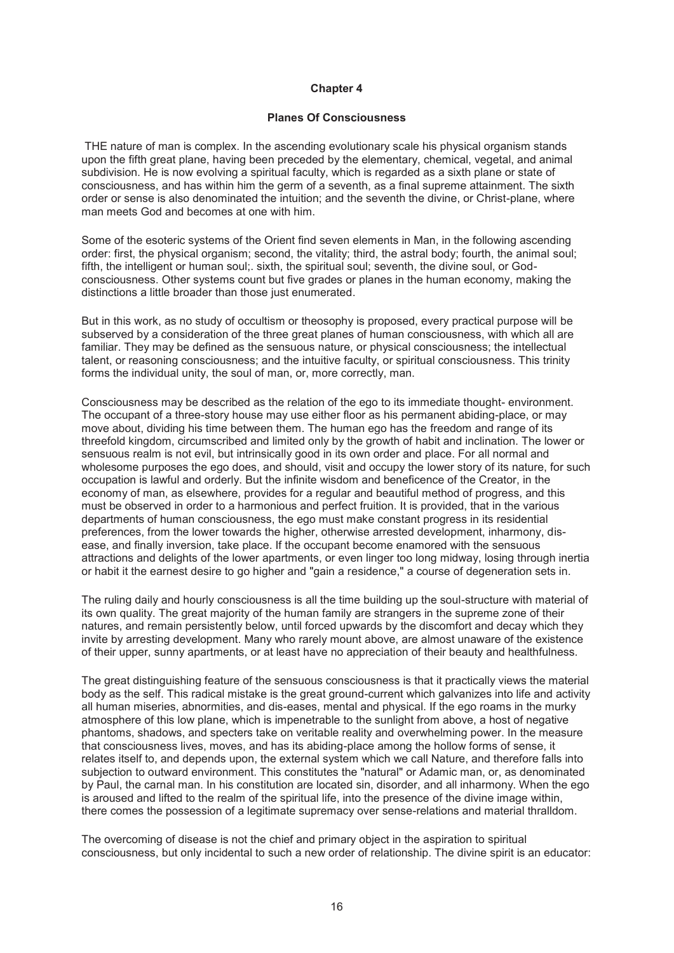### **Chapter 4**

#### **Planes Of Consciousness**

 THE nature of man is complex. In the ascending evolutionary scale his physical organism stands upon the fifth great plane, having been preceded by the elementary, chemical, vegetal, and animal subdivision. He is now evolving a spiritual faculty, which is regarded as a sixth plane or state of consciousness, and has within him the germ of a seventh, as a final supreme attainment. The sixth order or sense is also denominated the intuition; and the seventh the divine, or Christ-plane, where man meets God and becomes at one with him.

Some of the esoteric systems of the Orient find seven elements in Man, in the following ascending order: first, the physical organism; second, the vitality; third, the astral body; fourth, the animal soul; fifth, the intelligent or human soul;. sixth, the spiritual soul; seventh, the divine soul, or Godconsciousness. Other systems count but five grades or planes in the human economy, making the distinctions a little broader than those just enumerated.

But in this work, as no study of occultism or theosophy is proposed, every practical purpose will be subserved by a consideration of the three great planes of human consciousness, with which all are familiar. They may be defined as the sensuous nature, or physical consciousness; the intellectual talent, or reasoning consciousness; and the intuitive faculty, or spiritual consciousness. This trinity forms the individual unity, the soul of man, or, more correctly, man.

Consciousness may be described as the relation of the ego to its immediate thought- environment. The occupant of a three-story house may use either floor as his permanent abiding-place, or may move about, dividing his time between them. The human ego has the freedom and range of its threefold kingdom, circumscribed and limited only by the growth of habit and inclination. The lower or sensuous realm is not evil, but intrinsically good in its own order and place. For all normal and wholesome purposes the ego does, and should, visit and occupy the lower story of its nature, for such occupation is lawful and orderly. But the infinite wisdom and beneficence of the Creator, in the economy of man, as elsewhere, provides for a regular and beautiful method of progress, and this must be observed in order to a harmonious and perfect fruition. It is provided, that in the various departments of human consciousness, the ego must make constant progress in its residential preferences, from the lower towards the higher, otherwise arrested development, inharmony, disease, and finally inversion, take place. If the occupant become enamored with the sensuous attractions and delights of the lower apartments, or even linger too long midway, losing through inertia or habit it the earnest desire to go higher and "gain a residence," a course of degeneration sets in.

The ruling daily and hourly consciousness is all the time building up the soul-structure with material of its own quality. The great majority of the human family are strangers in the supreme zone of their natures, and remain persistently below, until forced upwards by the discomfort and decay which they invite by arresting development. Many who rarely mount above, are almost unaware of the existence of their upper, sunny apartments, or at least have no appreciation of their beauty and healthfulness.

The great distinguishing feature of the sensuous consciousness is that it practically views the material body as the self. This radical mistake is the great ground-current which galvanizes into life and activity all human miseries, abnormities, and dis-eases, mental and physical. If the ego roams in the murky atmosphere of this low plane, which is impenetrable to the sunlight from above, a host of negative phantoms, shadows, and specters take on veritable reality and overwhelming power. In the measure that consciousness lives, moves, and has its abiding-place among the hollow forms of sense, it relates itself to, and depends upon, the external system which we call Nature, and therefore falls into subjection to outward environment. This constitutes the "natural" or Adamic man, or, as denominated by Paul, the carnal man. In his constitution are located sin, disorder, and all inharmony. When the ego is aroused and lifted to the realm of the spiritual life, into the presence of the divine image within, there comes the possession of a legitimate supremacy over sense-relations and material thralldom.

The overcoming of disease is not the chief and primary object in the aspiration to spiritual consciousness, but only incidental to such a new order of relationship. The divine spirit is an educator: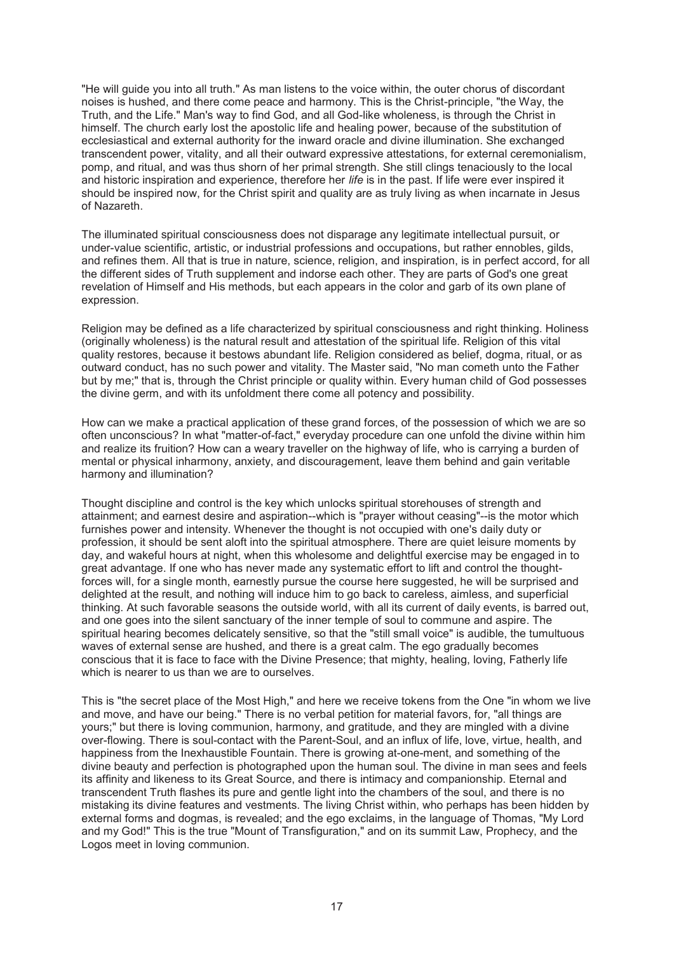"He will guide you into all truth." As man listens to the voice within, the outer chorus of discordant noises is hushed, and there come peace and harmony. This is the Christ-principle, "the Way, the Truth, and the Life." Man's way to find God, and all God-like wholeness, is through the Christ in himself. The church early lost the apostolic life and healing power, because of the substitution of ecclesiastical and external authority for the inward oracle and divine illumination. She exchanged transcendent power, vitality, and all their outward expressive attestations, for external ceremonialism, pomp, and ritual, and was thus shorn of her primal strength. She still clings tenaciously to the local and historic inspiration and experience, therefore her *life* is in the past. If life were ever inspired it should be inspired now, for the Christ spirit and quality are as truly living as when incarnate in Jesus of Nazareth.

The illuminated spiritual consciousness does not disparage any legitimate intellectual pursuit, or under-value scientific, artistic, or industrial professions and occupations, but rather ennobles, gilds, and refines them. All that is true in nature, science, religion, and inspiration, is in perfect accord, for all the different sides of Truth supplement and indorse each other. They are parts of God's one great revelation of Himself and His methods, but each appears in the color and garb of its own plane of expression.

Religion may be defined as a life characterized by spiritual consciousness and right thinking. Holiness (originally wholeness) is the natural result and attestation of the spiritual life. Religion of this vital quality restores, because it bestows abundant life. Religion considered as belief, dogma, ritual, or as outward conduct, has no such power and vitality. The Master said, "No man cometh unto the Father but by me;" that is, through the Christ principle or quality within. Every human child of God possesses the divine germ, and with its unfoldment there come all potency and possibility.

How can we make a practical application of these grand forces, of the possession of which we are so often unconscious? In what "matter-of-fact," everyday procedure can one unfold the divine within him and realize its fruition? How can a weary traveller on the highway of life, who is carrying a burden of mental or physical inharmony, anxiety, and discouragement, leave them behind and gain veritable harmony and illumination?

Thought discipline and control is the key which unlocks spiritual storehouses of strength and attainment; and earnest desire and aspiration--which is "prayer without ceasing"--is the motor which furnishes power and intensity. Whenever the thought is not occupied with one's daily duty or profession, it should be sent aloft into the spiritual atmosphere. There are quiet leisure moments by day, and wakeful hours at night, when this wholesome and delightful exercise may be engaged in to great advantage. If one who has never made any systematic effort to lift and control the thoughtforces will, for a single month, earnestly pursue the course here suggested, he will be surprised and delighted at the result, and nothing will induce him to go back to careless, aimless, and superficial thinking. At such favorable seasons the outside world, with all its current of daily events, is barred out, and one goes into the silent sanctuary of the inner temple of soul to commune and aspire. The spiritual hearing becomes delicately sensitive, so that the "still small voice" is audible, the tumultuous waves of external sense are hushed, and there is a great calm. The ego gradually becomes conscious that it is face to face with the Divine Presence; that mighty, healing, loving, Fatherly life which is nearer to us than we are to ourselves.

This is "the secret place of the Most High," and here we receive tokens from the One "in whom we live and move, and have our being." There is no verbal petition for material favors, for, "all things are yours;" but there is loving communion, harmony, and gratitude, and they are mingled with a divine over-flowing. There is soul-contact with the Parent-Soul, and an influx of life, love, virtue, health, and happiness from the Inexhaustible Fountain. There is growing at-one-ment, and something of the divine beauty and perfection is photographed upon the human soul. The divine in man sees and feels its affinity and likeness to its Great Source, and there is intimacy and companionship. Eternal and transcendent Truth flashes its pure and gentle light into the chambers of the soul, and there is no mistaking its divine features and vestments. The living Christ within, who perhaps has been hidden by external forms and dogmas, is revealed; and the ego exclaims, in the language of Thomas, "My Lord and my God!" This is the true "Mount of Transfiguration," and on its summit Law, Prophecy, and the Logos meet in loving communion.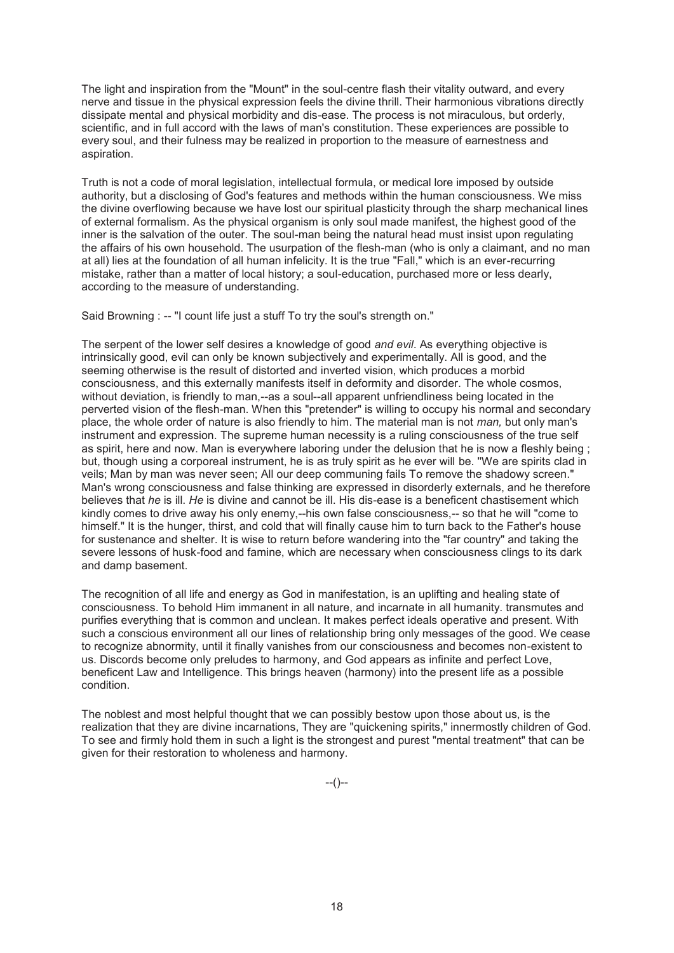The light and inspiration from the "Mount" in the soul-centre flash their vitality outward, and every nerve and tissue in the physical expression feels the divine thrill. Their harmonious vibrations directly dissipate mental and physical morbidity and dis-ease. The process is not miraculous, but orderly, scientific, and in full accord with the laws of man's constitution. These experiences are possible to every soul, and their fulness may be realized in proportion to the measure of earnestness and aspiration.

Truth is not a code of moral legislation, intellectual formula, or medical lore imposed by outside authority, but a disclosing of God's features and methods within the human consciousness. We miss the divine overflowing because we have lost our spiritual plasticity through the sharp mechanical lines of external formalism. As the physical organism is only soul made manifest, the highest good of the inner is the salvation of the outer. The soul-man being the natural head must insist upon regulating the affairs of his own household. The usurpation of the flesh-man (who is only a claimant, and no man at all) lies at the foundation of all human infelicity. It is the true "Fall," which is an ever-recurring mistake, rather than a matter of local history; a soul-education, purchased more or less dearly, according to the measure of understanding.

Said Browning : -- "I count life just a stuff To try the soul's strength on."

The serpent of the lower self desires a knowledge of good *and evil*. As everything objective is intrinsically good, evil can only be known subjectively and experimentally. All is good, and the seeming otherwise is the result of distorted and inverted vision, which produces a morbid consciousness, and this externally manifests itself in deformity and disorder. The whole cosmos, without deviation, is friendly to man,--as a soul--all apparent unfriendliness being located in the perverted vision of the flesh-man. When this "pretender" is willing to occupy his normal and secondary place, the whole order of nature is also friendly to him. The material man is not *man,* but only man's instrument and expression. The supreme human necessity is a ruling consciousness of the true self as spirit, here and now. Man is everywhere laboring under the delusion that he is now a fleshly being ; but, though using a corporeal instrument, he is as truly spirit as he ever will be. ''We are spirits clad in veils; Man by man was never seen; All our deep communing fails To remove the shadowy screen." Man's wrong consciousness and false thinking are expressed in disorderly externals, and he therefore believes that *he* is ill. *He* is divine and cannot be ill. His dis-ease is a beneficent chastisement which kindly comes to drive away his only enemy,--his own false consciousness,-- so that he will "come to himself." It is the hunger, thirst, and cold that will finally cause him to turn back to the Father's house for sustenance and shelter. It is wise to return before wandering into the "far country" and taking the severe lessons of husk-food and famine, which are necessary when consciousness clings to its dark and damp basement.

The recognition of all life and energy as God in manifestation, is an uplifting and healing state of consciousness. To behold Him immanent in all nature, and incarnate in all humanity. transmutes and purifies everything that is common and unclean. It makes perfect ideals operative and present. With such a conscious environment all our lines of relationship bring only messages of the good. We cease to recognize abnormity, until it finally vanishes from our consciousness and becomes non-existent to us. Discords become only preludes to harmony, and God appears as infinite and perfect Love, beneficent Law and Intelligence. This brings heaven (harmony) into the present life as a possible condition.

The noblest and most helpful thought that we can possibly bestow upon those about us, is the realization that they are divine incarnations, They are "quickening spirits," innermostly children of God. To see and firmly hold them in such a light is the strongest and purest "mental treatment" that can be given for their restoration to wholeness and harmony.

--()--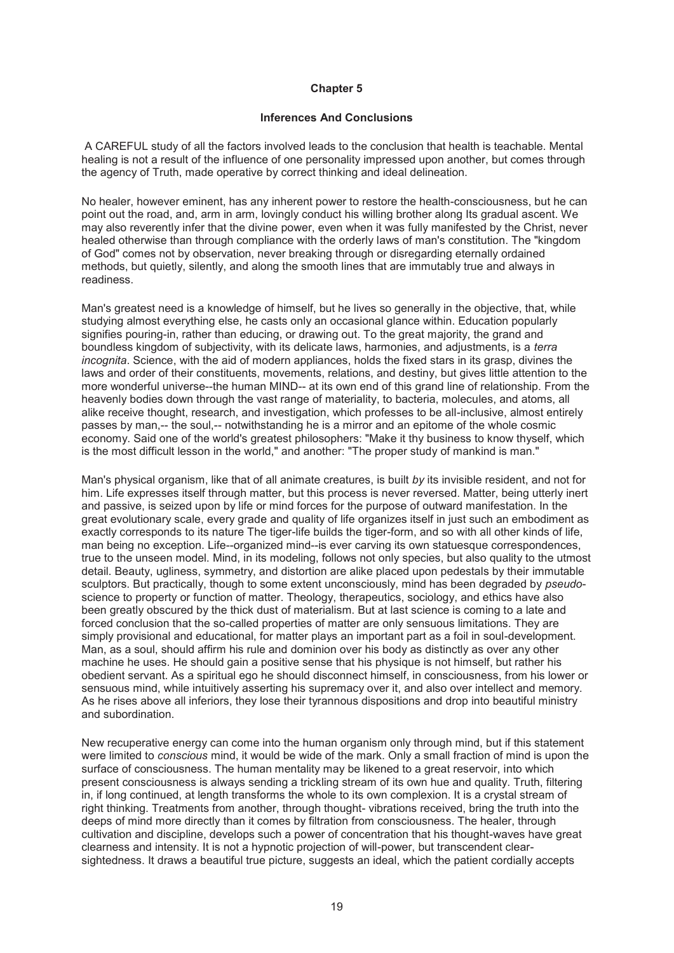### **Chapter 5**

### **Inferences And Conclusions**

 A CAREFUL study of all the factors involved leads to the conclusion that health is teachable. Mental healing is not a result of the influence of one personality impressed upon another, but comes through the agency of Truth, made operative by correct thinking and ideal delineation.

No healer, however eminent, has any inherent power to restore the health-consciousness, but he can point out the road, and, arm in arm, lovingly conduct his willing brother along Its gradual ascent. We may also reverently infer that the divine power, even when it was fully manifested by the Christ, never healed otherwise than through compliance with the orderly laws of man's constitution. The "kingdom of God" comes not by observation, never breaking through or disregarding eternally ordained methods, but quietly, silently, and along the smooth lines that are immutably true and always in readiness.

Man's greatest need is a knowledge of himself, but he lives so generally in the objective, that, while studying almost everything else, he casts only an occasional glance within. Education popularly signifies pouring-in, rather than educing, or drawing out. To the great majority, the grand and boundless kingdom of subjectivity, with its delicate laws, harmonies, and adjustments, is a *terra incognita*. Science, with the aid of modern appliances, holds the fixed stars in its grasp, divines the laws and order of their constituents, movements, relations, and destiny, but gives little attention to the more wonderful universe--the human MIND-- at its own end of this grand line of relationship. From the heavenly bodies down through the vast range of materiality, to bacteria, molecules, and atoms, all alike receive thought, research, and investigation, which professes to be all-inclusive, almost entirely passes by man,-- the soul,-- notwithstanding he is a mirror and an epitome of the whole cosmic economy. Said one of the world's greatest philosophers: "Make it thy business to know thyself, which is the most difficult lesson in the world," and another: "The proper study of mankind is man."

Man's physical organism, like that of all animate creatures, is built *by* its invisible resident, and not for him. Life expresses itself through matter, but this process is never reversed. Matter, being utterly inert and passive, is seized upon by life or mind forces for the purpose of outward manifestation. In the great evolutionary scale, every grade and quality of life organizes itself in just such an embodiment as exactly corresponds to its nature The tiger-life builds the tiger-form, and so with all other kinds of life, man being no exception. Life--organized mind--is ever carving its own statuesque correspondences, true to the unseen model. Mind, in its modeling, follows not only species, but also quality to the utmost detail. Beauty, ugliness, symmetry, and distortion are alike placed upon pedestals by their immutable sculptors. But practically, though to some extent unconsciously, mind has been degraded by *pseudo*science to property or function of matter. Theology, therapeutics, sociology, and ethics have also been greatly obscured by the thick dust of materialism. But at last science is coming to a late and forced conclusion that the so-called properties of matter are only sensuous limitations. They are simply provisional and educational, for matter plays an important part as a foil in soul-development. Man, as a soul, should affirm his rule and dominion over his body as distinctly as over any other machine he uses. He should gain a positive sense that his physique is not himself, but rather his obedient servant. As a spiritual ego he should disconnect himself, in consciousness, from his lower or sensuous mind, while intuitively asserting his supremacy over it, and also over intellect and memory. As he rises above all inferiors, they lose their tyrannous dispositions and drop into beautiful ministry and subordination.

New recuperative energy can come into the human organism only through mind, but if this statement were limited to *conscious* mind, it would be wide of the mark. Only a small fraction of mind is upon the surface of consciousness. The human mentality may be likened to a great reservoir, into which present consciousness is always sending a trickling stream of its own hue and quality. Truth, filtering in, if long continued, at length transforms the whole to its own complexion. It is a crystal stream of right thinking. Treatments from another, through thought- vibrations received, bring the truth into the deeps of mind more directly than it comes by filtration from consciousness. The healer, through cultivation and discipline, develops such a power of concentration that his thought-waves have great clearness and intensity. It is not a hypnotic projection of will-power, but transcendent clearsightedness. It draws a beautiful true picture, suggests an ideal, which the patient cordially accepts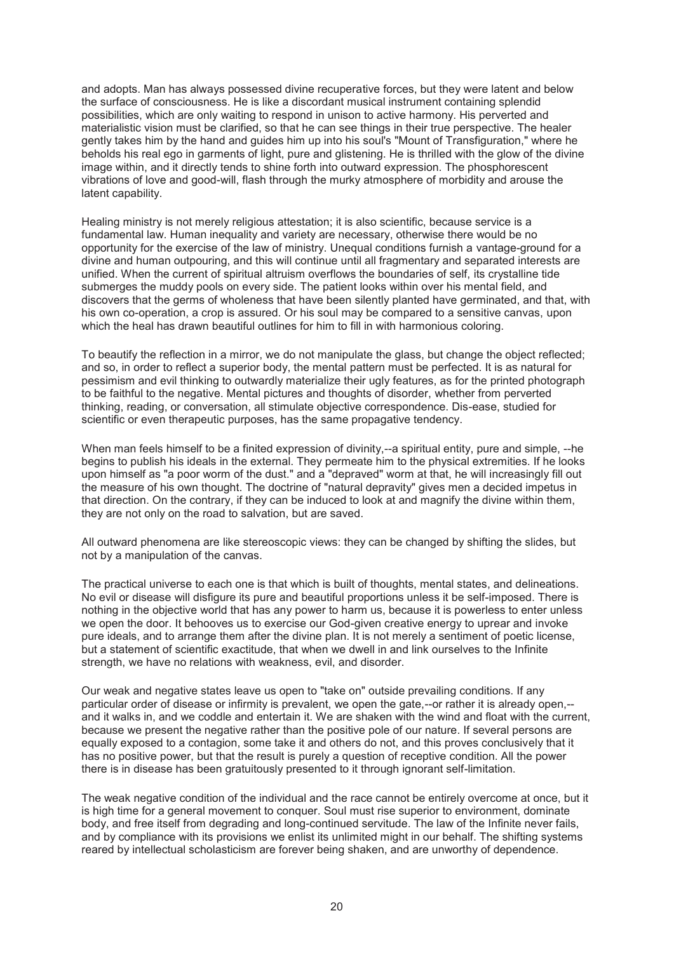and adopts. Man has always possessed divine recuperative forces, but they were latent and below the surface of consciousness. He is like a discordant musical instrument containing splendid possibilities, which are only waiting to respond in unison to active harmony. His perverted and materialistic vision must be clarified, so that he can see things in their true perspective. The healer gently takes him by the hand and guides him up into his soul's "Mount of Transfiguration," where he beholds his real ego in garments of light, pure and glistening. He is thrilled with the glow of the divine image within, and it directly tends to shine forth into outward expression. The phosphorescent vibrations of love and good-will, flash through the murky atmosphere of morbidity and arouse the latent capability.

Healing ministry is not merely religious attestation; it is also scientific, because service is a fundamental law. Human inequality and variety are necessary, otherwise there would be no opportunity for the exercise of the law of ministry. Unequal conditions furnish a vantage-ground for a divine and human outpouring, and this will continue until all fragmentary and separated interests are unified. When the current of spiritual altruism overflows the boundaries of self, its crystalline tide submerges the muddy pools on every side. The patient looks within over his mental field, and discovers that the germs of wholeness that have been silently planted have germinated, and that, with his own co-operation, a crop is assured. Or his soul may be compared to a sensitive canvas, upon which the heal has drawn beautiful outlines for him to fill in with harmonious coloring.

To beautify the reflection in a mirror, we do not manipulate the glass, but change the object reflected; and so, in order to reflect a superior body, the mental pattern must be perfected. It is as natural for pessimism and evil thinking to outwardly materialize their ugly features, as for the printed photograph to be faithful to the negative. Mental pictures and thoughts of disorder, whether from perverted thinking, reading, or conversation, all stimulate objective correspondence. Dis-ease, studied for scientific or even therapeutic purposes, has the same propagative tendency.

When man feels himself to be a finited expression of divinity,--a spiritual entity, pure and simple, --he begins to publish his ideals in the external. They permeate him to the physical extremities. If he looks upon himself as "a poor worm of the dust." and a "depraved" worm at that, he will increasingly fill out the measure of his own thought. The doctrine of "natural depravity" gives men a decided impetus in that direction. On the contrary, if they can be induced to look at and magnify the divine within them, they are not only on the road to salvation, but are saved.

All outward phenomena are like stereoscopic views: they can be changed by shifting the slides, but not by a manipulation of the canvas.

The practical universe to each one is that which is built of thoughts, mental states, and delineations. No evil or disease will disfigure its pure and beautiful proportions unless it be self-imposed. There is nothing in the objective world that has any power to harm us, because it is powerless to enter unless we open the door. It behooves us to exercise our God-given creative energy to uprear and invoke pure ideals, and to arrange them after the divine plan. It is not merely a sentiment of poetic license, but a statement of scientific exactitude, that when we dwell in and link ourselves to the Infinite strength, we have no relations with weakness, evil, and disorder.

Our weak and negative states leave us open to "take on" outside prevailing conditions. If any particular order of disease or infirmity is prevalent, we open the gate,--or rather it is already open,- and it walks in, and we coddle and entertain it. We are shaken with the wind and float with the current, because we present the negative rather than the positive pole of our nature. If several persons are equally exposed to a contagion, some take it and others do not, and this proves conclusively that it has no positive power, but that the result is purely a question of receptive condition. All the power there is in disease has been gratuitously presented to it through ignorant self-limitation.

The weak negative condition of the individual and the race cannot be entirely overcome at once, but it is high time for a general movement to conquer. Soul must rise superior to environment, dominate body, and free itself from degrading and long-continued servitude. The law of the Infinite never fails, and by compliance with its provisions we enlist its unlimited might in our behalf. The shifting systems reared by intellectual scholasticism are forever being shaken, and are unworthy of dependence.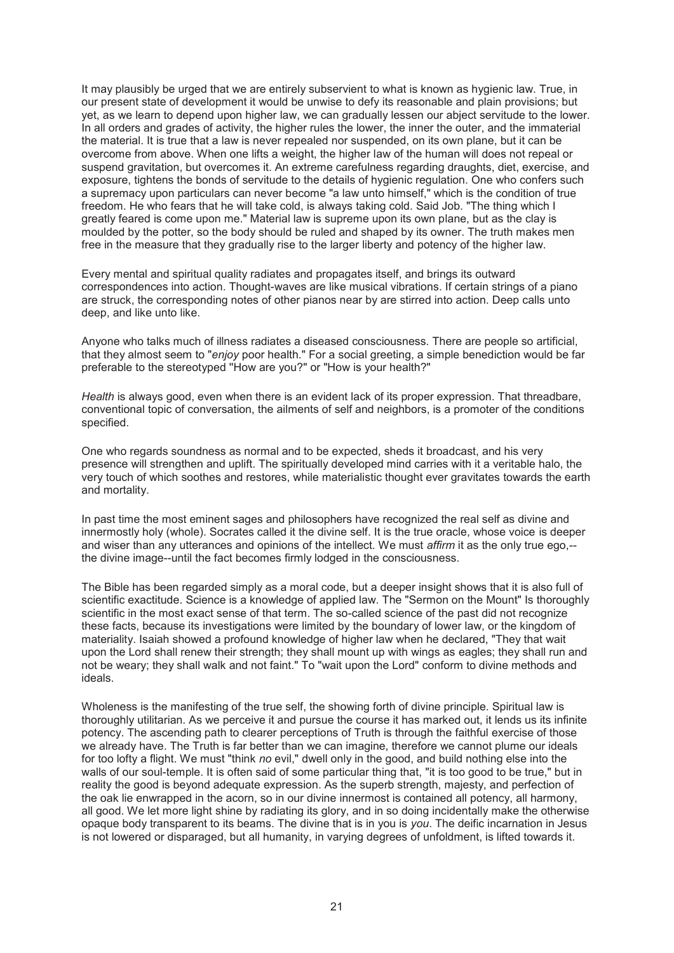It may plausibly be urged that we are entirely subservient to what is known as hygienic law. True, in our present state of development it would be unwise to defy its reasonable and plain provisions; but yet, as we learn to depend upon higher law, we can gradually lessen our abject servitude to the lower. In all orders and grades of activity, the higher rules the lower, the inner the outer, and the immaterial the material. It is true that a law is never repealed nor suspended, on its own plane, but it can be overcome from above. When one lifts a weight, the higher law of the human will does not repeal or suspend gravitation, but overcomes it. An extreme carefulness regarding draughts, diet, exercise, and exposure, tightens the bonds of servitude to the details of hygienic regulation. One who confers such a supremacy upon particulars can never become "a law unto himself," which is the condition of true freedom. He who fears that he will take cold, is always taking cold. Said Job. "The thing which I greatly feared is come upon me." Material law is supreme upon its own plane, but as the clay is moulded by the potter, so the body should be ruled and shaped by its owner. The truth makes men free in the measure that they gradually rise to the larger liberty and potency of the higher law.

Every mental and spiritual quality radiates and propagates itself, and brings its outward correspondences into action. Thought-waves are like musical vibrations. If certain strings of a piano are struck, the corresponding notes of other pianos near by are stirred into action. Deep calls unto deep, and like unto like.

Anyone who talks much of illness radiates a diseased consciousness. There are people so artificial, that they almost seem to "*enjoy* poor health." For a social greeting, a simple benediction would be far preferable to the stereotyped ''How are you?" or "How is your health?"

*Health* is always good, even when there is an evident lack of its proper expression. That threadbare, conventional topic of conversation, the ailments of self and neighbors, is a promoter of the conditions specified.

One who regards soundness as normal and to be expected, sheds it broadcast, and his very presence will strengthen and uplift. The spiritually developed mind carries with it a veritable halo, the very touch of which soothes and restores, while materialistic thought ever gravitates towards the earth and mortality.

In past time the most eminent sages and philosophers have recognized the real self as divine and innermostly holy (whole). Socrates called it the divine self. It is the true oracle, whose voice is deeper and wiser than any utterances and opinions of the intellect. We must *affirm* it as the only true ego,- the divine image--until the fact becomes firmly lodged in the consciousness.

The Bible has been regarded simply as a moral code, but a deeper insight shows that it is also full of scientific exactitude. Science is a knowledge of applied law. The "Sermon on the Mount" Is thoroughly scientific in the most exact sense of that term. The so-called science of the past did not recognize these facts, because its investigations were limited by the boundary of lower law, or the kingdom of materiality. Isaiah showed a profound knowledge of higher law when he declared, "They that wait upon the Lord shall renew their strength; they shall mount up with wings as eagles; they shall run and not be weary; they shall walk and not faint." To "wait upon the Lord" conform to divine methods and ideals.

Wholeness is the manifesting of the true self, the showing forth of divine principle. Spiritual law is thoroughly utilitarian. As we perceive it and pursue the course it has marked out, it lends us its infinite potency. The ascending path to clearer perceptions of Truth is through the faithful exercise of those we already have. The Truth is far better than we can imagine, therefore we cannot plume our ideals for too lofty a flight. We must "think *no* evil," dwell only in the good, and build nothing else into the walls of our soul-temple. It is often said of some particular thing that, "it is too good to be true," but in reality the good is beyond adequate expression. As the superb strength, majesty, and perfection of the oak lie enwrapped in the acorn, so in our divine innermost is contained all potency, all harmony, all good. We let more light shine by radiating its glory, and in so doing incidentally make the otherwise opaque body transparent to its beams. The divine that is in you is *you*. The deific incarnation in Jesus is not lowered or disparaged, but all humanity, in varying degrees of unfoldment, is lifted towards it.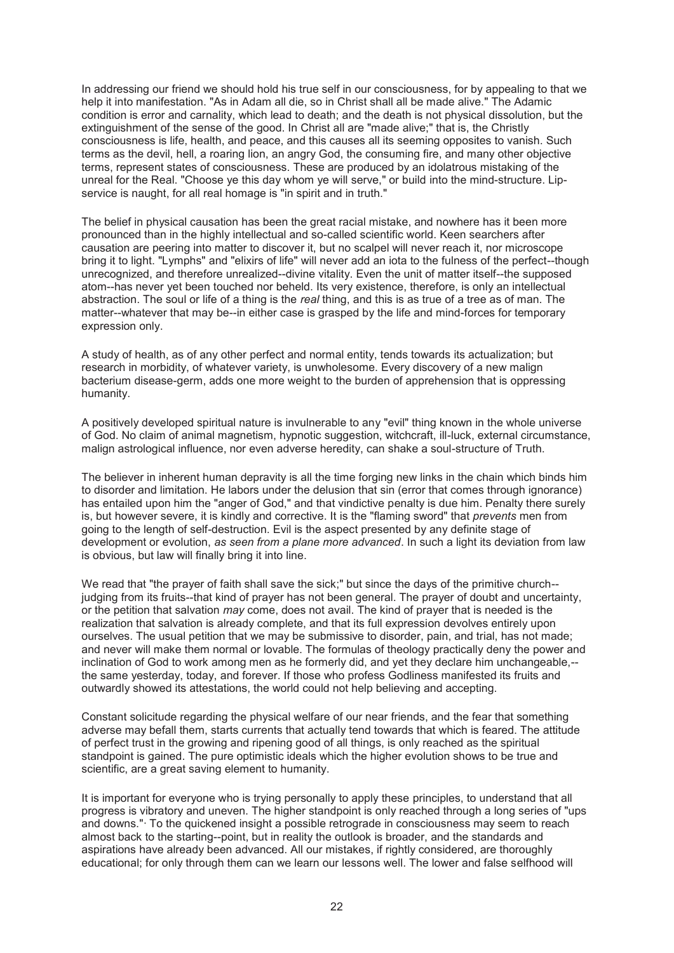In addressing our friend we should hold his true self in our consciousness, for by appealing to that we help it into manifestation. "As in Adam all die, so in Christ shall all be made alive." The Adamic condition is error and carnality, which lead to death; and the death is not physical dissolution, but the extinguishment of the sense of the good. In Christ all are "made alive;" that is, the Christly consciousness is life, health, and peace, and this causes all its seeming opposites to vanish. Such terms as the devil, hell, a roaring lion, an angry God, the consuming fire, and many other objective terms, represent states of consciousness. These are produced by an idolatrous mistaking of the unreal for the Real. "Choose ye this day whom ye will serve," or build into the mind-structure. Lipservice is naught, for all real homage is "in spirit and in truth."

The belief in physical causation has been the great racial mistake, and nowhere has it been more pronounced than in the highly intellectual and so-called scientific world. Keen searchers after causation are peering into matter to discover it, but no scalpel will never reach it, nor microscope bring it to light. "Lymphs" and "elixirs of life" will never add an iota to the fulness of the perfect--though unrecognized, and therefore unrealized--divine vitality. Even the unit of matter itself--the supposed atom--has never yet been touched nor beheld. Its very existence, therefore, is only an intellectual abstraction. The soul or life of a thing is the *real* thing, and this is as true of a tree as of man. The matter--whatever that may be--in either case is grasped by the life and mind-forces for temporary expression only.

A study of health, as of any other perfect and normal entity, tends towards its actualization; but research in morbidity, of whatever variety, is unwholesome. Every discovery of a new malign bacterium disease-germ, adds one more weight to the burden of apprehension that is oppressing humanity.

A positively developed spiritual nature is invulnerable to any "evil" thing known in the whole universe of God. No claim of animal magnetism, hypnotic suggestion, witchcraft, ill-luck, external circumstance, malign astrological influence, nor even adverse heredity, can shake a soul-structure of Truth.

The believer in inherent human depravity is all the time forging new links in the chain which binds him to disorder and limitation. He labors under the delusion that sin (error that comes through ignorance) has entailed upon him the "anger of God," and that vindictive penalty is due him. Penalty there surely is, but however severe, it is kindly and corrective. It is the "flaming sword" that *prevents* men from going to the length of self-destruction. Evil is the aspect presented by any definite stage of development or evolution, *as seen from a plane more advanced*. In such a light its deviation from law is obvious, but law will finally bring it into line.

We read that "the prayer of faith shall save the sick;" but since the days of the primitive church-judging from its fruits--that kind of prayer has not been general. The prayer of doubt and uncertainty, or the petition that salvation *may* come, does not avail. The kind of prayer that is needed is the realization that salvation is already complete, and that its full expression devolves entirely upon ourselves. The usual petition that we may be submissive to disorder, pain, and trial, has not made; and never will make them normal or lovable. The formulas of theology practically deny the power and inclination of God to work among men as he formerly did, and yet they declare him unchangeable,- the same yesterday, today, and forever. If those who profess Godliness manifested its fruits and outwardly showed its attestations, the world could not help believing and accepting.

Constant solicitude regarding the physical welfare of our near friends, and the fear that something adverse may befall them, starts currents that actually tend towards that which is feared. The attitude of perfect trust in the growing and ripening good of all things, is only reached as the spiritual standpoint is gained. The pure optimistic ideals which the higher evolution shows to be true and scientific, are a great saving element to humanity.

It is important for everyone who is trying personally to apply these principles, to understand that all progress is vibratory and uneven. The higher standpoint is only reached through a long series of "ups and downs."· To the quickened insight a possible retrograde in consciousness may seem to reach almost back to the starting--point, but in reality the outlook is broader, and the standards and aspirations have already been advanced. All our mistakes, if rightly considered, are thoroughly educational; for only through them can we learn our lessons well. The lower and false selfhood will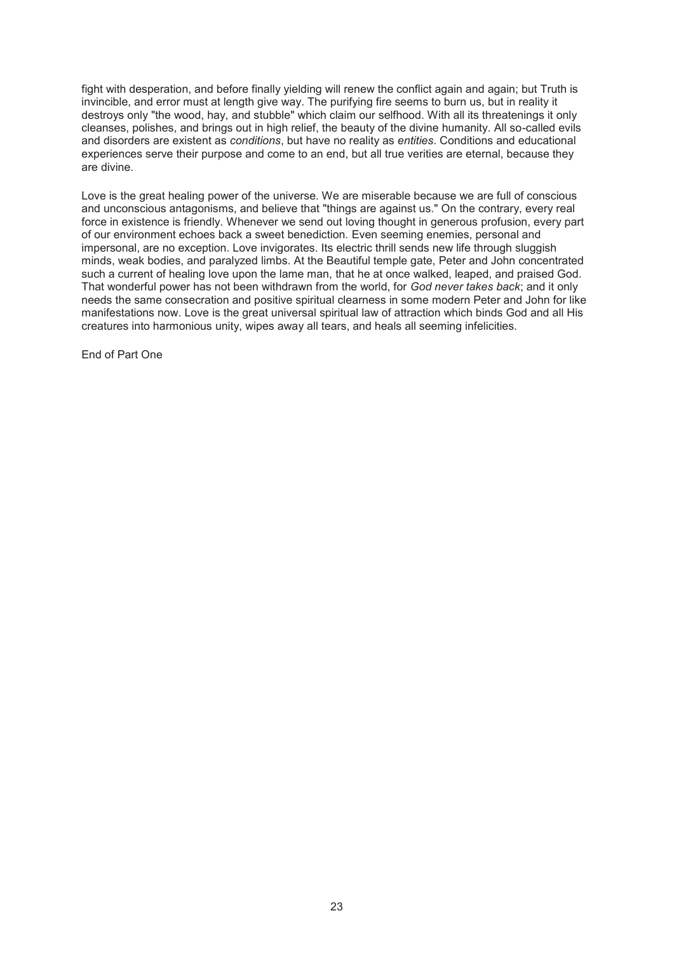fight with desperation, and before finally yielding will renew the conflict again and again; but Truth is invincible, and error must at length give way. The purifying fire seems to burn us, but in reality it destroys only "the wood, hay, and stubble" which claim our selfhood. With all its threatenings it only cleanses, polishes, and brings out in high relief, the beauty of the divine humanity. All so-called evils and disorders are existent as *conditions*, but have no reality as *entities*. Conditions and educational experiences serve their purpose and come to an end, but all true verities are eternal, because they are divine.

Love is the great healing power of the universe. We are miserable because we are full of conscious and unconscious antagonisms, and believe that "things are against us." On the contrary, every real force in existence is friendly. Whenever we send out loving thought in generous profusion, every part of our environment echoes back a sweet benediction. Even seeming enemies, personal and impersonal, are no exception. Love invigorates. Its electric thrill sends new life through sluggish minds, weak bodies, and paralyzed limbs. At the Beautiful temple gate, Peter and John concentrated such a current of healing love upon the lame man, that he at once walked, leaped, and praised God. That wonderful power has not been withdrawn from the world, for *God never takes back*; and it only needs the same consecration and positive spiritual clearness in some modern Peter and John for like manifestations now. Love is the great universal spiritual law of attraction which binds God and all His creatures into harmonious unity, wipes away all tears, and heals all seeming infelicities.

End of Part One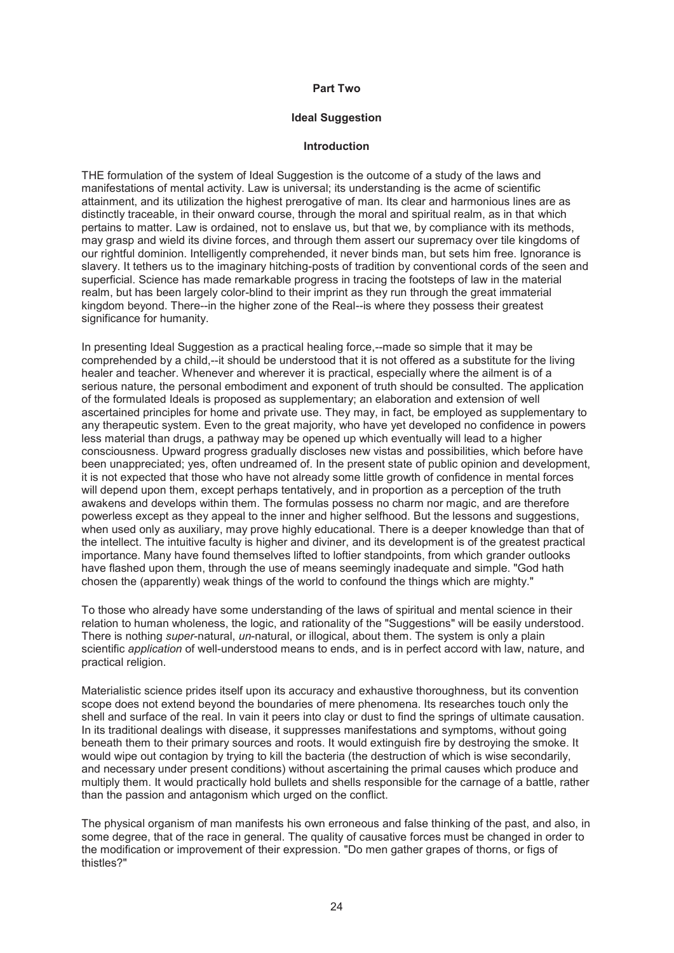#### **Part Two**

### **Ideal Suggestion**

#### **Introduction**

THE formulation of the system of Ideal Suggestion is the outcome of a study of the laws and manifestations of mental activity. Law is universal; its understanding is the acme of scientific attainment, and its utilization the highest prerogative of man. Its clear and harmonious lines are as distinctly traceable, in their onward course, through the moral and spiritual realm, as in that which pertains to matter. Law is ordained, not to enslave us, but that we, by compliance with its methods, may grasp and wield its divine forces, and through them assert our supremacy over tile kingdoms of our rightful dominion. Intelligently comprehended, it never binds man, but sets him free. Ignorance is slavery. It tethers us to the imaginary hitching-posts of tradition by conventional cords of the seen and superficial. Science has made remarkable progress in tracing the footsteps of law in the material realm, but has been largely color-blind to their imprint as they run through the great immaterial kingdom beyond. There--in the higher zone of the Real--is where they possess their greatest significance for humanity.

In presenting Ideal Suggestion as a practical healing force,--made so simple that it may be comprehended by a child,--it should be understood that it is not offered as a substitute for the living healer and teacher. Whenever and wherever it is practical, especially where the ailment is of a serious nature, the personal embodiment and exponent of truth should be consulted. The application of the formulated Ideals is proposed as supplementary; an elaboration and extension of well ascertained principles for home and private use. They may, in fact, be employed as supplementary to any therapeutic system. Even to the great majority, who have yet developed no confidence in powers less material than drugs, a pathway may be opened up which eventually will lead to a higher consciousness. Upward progress gradually discloses new vistas and possibilities, which before have been unappreciated; yes, often undreamed of. In the present state of public opinion and development, it is not expected that those who have not already some little growth of confidence in mental forces will depend upon them, except perhaps tentatively, and in proportion as a perception of the truth awakens and develops within them. The formulas possess no charm nor magic, and are therefore powerless except as they appeal to the inner and higher selfhood. But the lessons and suggestions, when used only as auxiliary, may prove highly educational. There is a deeper knowledge than that of the intellect. The intuitive faculty is higher and diviner, and its development is of the greatest practical importance. Many have found themselves lifted to loftier standpoints, from which grander outlooks have flashed upon them, through the use of means seemingly inadequate and simple. "God hath chosen the (apparently) weak things of the world to confound the things which are mighty."

To those who already have some understanding of the laws of spiritual and mental science in their relation to human wholeness, the logic, and rationality of the "Suggestions" will be easily understood. There is nothing *super*-natural, *un*-natural, or illogical, about them. The system is only a plain scientific *application* of well-understood means to ends, and is in perfect accord with law, nature, and practical religion.

Materialistic science prides itself upon its accuracy and exhaustive thoroughness, but its convention scope does not extend beyond the boundaries of mere phenomena. Its researches touch only the shell and surface of the real. In vain it peers into clay or dust to find the springs of ultimate causation. In its traditional dealings with disease, it suppresses manifestations and symptoms, without going beneath them to their primary sources and roots. It would extinguish fire by destroying the smoke. It would wipe out contagion by trying to kill the bacteria (the destruction of which is wise secondarily, and necessary under present conditions) without ascertaining the primal causes which produce and multiply them. It would practically hold bullets and shells responsible for the carnage of a battle, rather than the passion and antagonism which urged on the conflict.

The physical organism of man manifests his own erroneous and false thinking of the past, and also, in some degree, that of the race in general. The quality of causative forces must be changed in order to the modification or improvement of their expression. "Do men gather grapes of thorns, or figs of thistles?"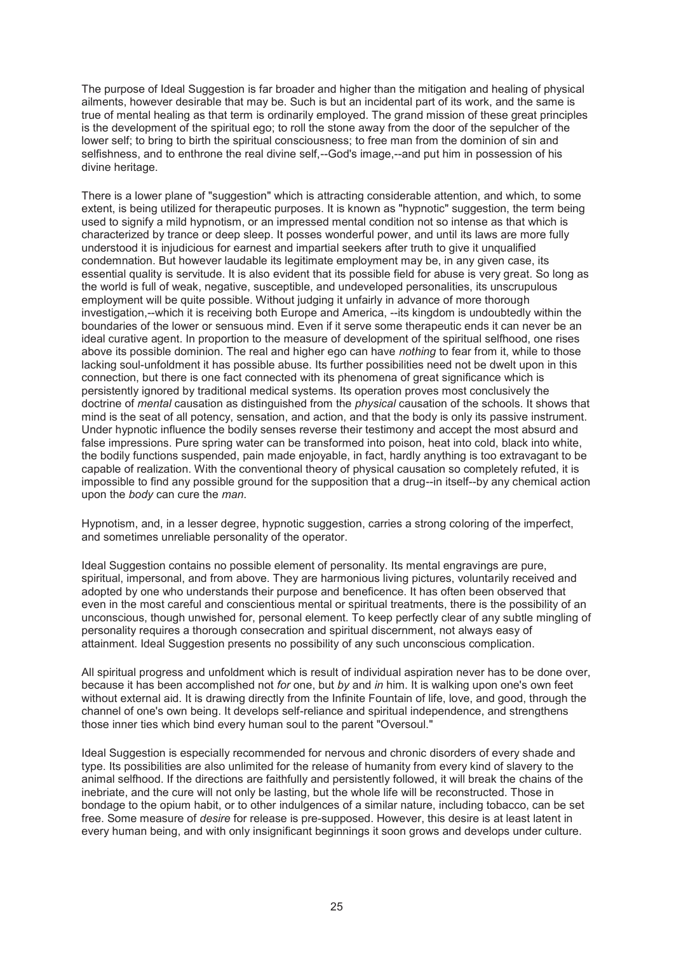The purpose of Ideal Suggestion is far broader and higher than the mitigation and healing of physical ailments, however desirable that may be. Such is but an incidental part of its work, and the same is true of mental healing as that term is ordinarily employed. The grand mission of these great principles is the development of the spiritual ego; to roll the stone away from the door of the sepulcher of the lower self; to bring to birth the spiritual consciousness; to free man from the dominion of sin and selfishness, and to enthrone the real divine self,--God's image,--and put him in possession of his divine heritage.

There is a lower plane of "suggestion" which is attracting considerable attention, and which, to some extent, is being utilized for therapeutic purposes. It is known as "hypnotic" suggestion, the term being used to signify a mild hypnotism, or an impressed mental condition not so intense as that which is characterized by trance or deep sleep. It posses wonderful power, and until its laws are more fully understood it is injudicious for earnest and impartial seekers after truth to give it unqualified condemnation. But however laudable its legitimate employment may be, in any given case, its essential quality is servitude. It is also evident that its possible field for abuse is very great. So long as the world is full of weak, negative, susceptible, and undeveloped personalities, its unscrupulous employment will be quite possible. Without judging it unfairly in advance of more thorough investigation,--which it is receiving both Europe and America, --its kingdom is undoubtedly within the boundaries of the lower or sensuous mind. Even if it serve some therapeutic ends it can never be an ideal curative agent. In proportion to the measure of development of the spiritual selfhood, one rises above its possible dominion. The real and higher ego can have *nothing* to fear from it, while to those lacking soul-unfoldment it has possible abuse. Its further possibilities need not be dwelt upon in this connection, but there is one fact connected with its phenomena of great significance which is persistently ignored by traditional medical systems. Its operation proves most conclusively the doctrine of *mental* causation as distinguished from the *physical* causation of the schools. It shows that mind is the seat of all potency, sensation, and action, and that the body is only its passive instrument. Under hypnotic influence the bodily senses reverse their testimony and accept the most absurd and false impressions. Pure spring water can be transformed into poison, heat into cold, black into white, the bodily functions suspended, pain made enjoyable, in fact, hardly anything is too extravagant to be capable of realization. With the conventional theory of physical causation so completely refuted, it is impossible to find any possible ground for the supposition that a drug--in itself--by any chemical action upon the *body* can cure the *man*.

Hypnotism, and, in a lesser degree, hypnotic suggestion, carries a strong coloring of the imperfect, and sometimes unreliable personality of the operator.

Ideal Suggestion contains no possible element of personality. Its mental engravings are pure, spiritual, impersonal, and from above. They are harmonious living pictures, voluntarily received and adopted by one who understands their purpose and beneficence. It has often been observed that even in the most careful and conscientious mental or spiritual treatments, there is the possibility of an unconscious, though unwished for, personal element. To keep perfectly clear of any subtle mingling of personality requires a thorough consecration and spiritual discernment, not always easy of attainment. Ideal Suggestion presents no possibility of any such unconscious complication.

All spiritual progress and unfoldment which is result of individual aspiration never has to be done over, because it has been accomplished not *for* one, but *by* and *in* him. It is walking upon one's own feet without external aid. It is drawing directly from the Infinite Fountain of life, love, and good, through the channel of one's own being. It develops self-reliance and spiritual independence, and strengthens those inner ties which bind every human soul to the parent "Oversoul."

Ideal Suggestion is especially recommended for nervous and chronic disorders of every shade and type. Its possibilities are also unlimited for the release of humanity from every kind of slavery to the animal selfhood. If the directions are faithfully and persistently followed, it will break the chains of the inebriate, and the cure will not only be lasting, but the whole life will be reconstructed. Those in bondage to the opium habit, or to other indulgences of a similar nature, including tobacco, can be set free. Some measure of *desire* for release is pre-supposed. However, this desire is at least latent in every human being, and with only insignificant beginnings it soon grows and develops under culture.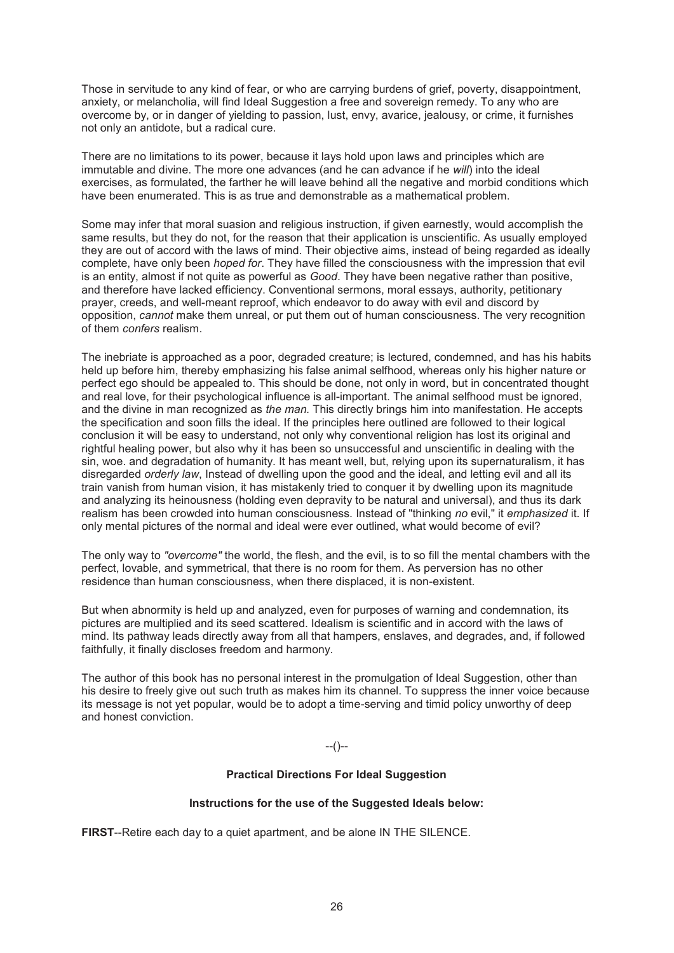Those in servitude to any kind of fear, or who are carrying burdens of grief, poverty, disappointment, anxiety, or melancholia, will find Ideal Suggestion a free and sovereign remedy. To any who are overcome by, or in danger of yielding to passion, lust, envy, avarice, jealousy, or crime, it furnishes not only an antidote, but a radical cure.

There are no limitations to its power, because it lays hold upon laws and principles which are immutable and divine. The more one advances (and he can advance if he *will*) into the ideal exercises, as formulated, the farther he will leave behind all the negative and morbid conditions which have been enumerated. This is as true and demonstrable as a mathematical problem.

Some may infer that moral suasion and religious instruction, if given earnestly, would accomplish the same results, but they do not, for the reason that their application is unscientific. As usually employed they are out of accord with the laws of mind. Their objective aims, instead of being regarded as ideally complete, have only been *hoped for*. They have filled the consciousness with the impression that evil is an entity, almost if not quite as powerful as *Good*. They have been negative rather than positive, and therefore have lacked efficiency. Conventional sermons, moral essays, authority, petitionary prayer, creeds, and well-meant reproof, which endeavor to do away with evil and discord by opposition, *cannot* make them unreal, or put them out of human consciousness. The very recognition of them *confers* realism.

The inebriate is approached as a poor, degraded creature; is lectured, condemned, and has his habits held up before him, thereby emphasizing his false animal selfhood, whereas only his higher nature or perfect ego should be appealed to. This should be done, not only in word, but in concentrated thought and real love, for their psychological influence is all-important. The animal selfhood must be ignored, and the divine in man recognized as *the man.* This directly brings him into manifestation. He accepts the specification and soon fills the ideal. If the principles here outlined are followed to their logical conclusion it will be easy to understand, not only why conventional religion has lost its original and rightful healing power, but also why it has been so unsuccessful and unscientific in dealing with the sin, woe. and degradation of humanity. It has meant well, but, relying upon its supernaturalism, it has disregarded *orderly law*, Instead of dwelling upon the good and the ideal, and letting evil and all its train vanish from human vision, it has mistakenly tried to conquer it by dwelling upon its magnitude and analyzing its heinousness (holding even depravity to be natural and universal), and thus its dark realism has been crowded into human consciousness. Instead of "thinking *no* evil," it *emphasized* it. If only mental pictures of the normal and ideal were ever outlined, what would become of evil?

The only way to *"overcome"* the world, the flesh, and the evil, is to so fill the mental chambers with the perfect, lovable, and symmetrical, that there is no room for them. As perversion has no other residence than human consciousness, when there displaced, it is non-existent.

But when abnormity is held up and analyzed, even for purposes of warning and condemnation, its pictures are multiplied and its seed scattered. Idealism is scientific and in accord with the laws of mind. Its pathway leads directly away from all that hampers, enslaves, and degrades, and, if followed faithfully, it finally discloses freedom and harmony.

The author of this book has no personal interest in the promulgation of Ideal Suggestion, other than his desire to freely give out such truth as makes him its channel. To suppress the inner voice because its message is not yet popular, would be to adopt a time-serving and timid policy unworthy of deep and honest conviction.

--()--

#### **Practical Directions For Ideal Suggestion**

#### **Instructions for the use of the Suggested Ideals below:**

**FIRST**--Retire each day to a quiet apartment, and be alone IN THE SILENCE.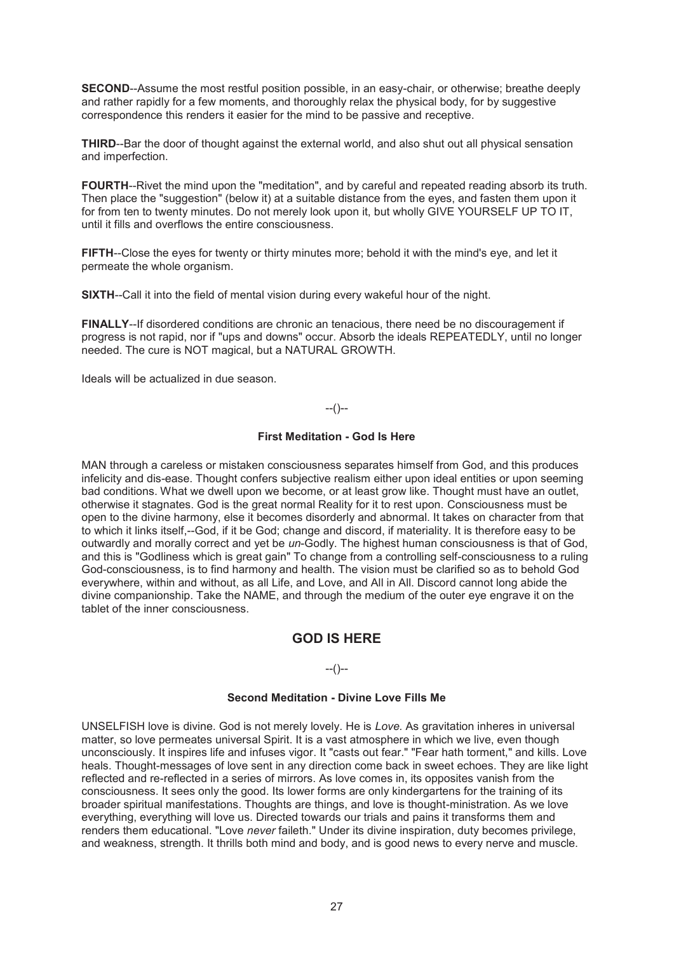**SECOND--Assume the most restful position possible, in an easy-chair, or otherwise; breathe deeply** and rather rapidly for a few moments, and thoroughly relax the physical body, for by suggestive correspondence this renders it easier for the mind to be passive and receptive.

**THIRD**--Bar the door of thought against the external world, and also shut out all physical sensation and imperfection.

**FOURTH**--Rivet the mind upon the "meditation", and by careful and repeated reading absorb its truth. Then place the "suggestion" (below it) at a suitable distance from the eyes, and fasten them upon it for from ten to twenty minutes. Do not merely look upon it, but wholly GIVE YOURSELF UP TO IT, until it fills and overflows the entire consciousness.

**FIFTH**--Close the eyes for twenty or thirty minutes more; behold it with the mind's eye, and let it permeate the whole organism.

**SIXTH--Call it into the field of mental vision during every wakeful hour of the night.** 

**FINALLY**--If disordered conditions are chronic an tenacious, there need be no discouragement if progress is not rapid, nor if "ups and downs" occur. Absorb the ideals REPEATEDLY, until no longer needed. The cure is NOT magical, but a NATURAL GROWTH.

Ideals will be actualized in due season.

# --()--

### **First Meditation - God Is Here**

MAN through a careless or mistaken consciousness separates himself from God, and this produces infelicity and dis-ease. Thought confers subjective realism either upon ideal entities or upon seeming bad conditions. What we dwell upon we become, or at least grow like. Thought must have an outlet, otherwise it stagnates. God is the great normal Reality for it to rest upon. Consciousness must be open to the divine harmony, else it becomes disorderly and abnormal. It takes on character from that to which it links itself,--God, if it be God; change and discord, if materiality. It is therefore easy to be outwardly and morally correct and yet be *un*-Godly. The highest human consciousness is that of God, and this is "Godliness which is great gain" To change from a controlling self-consciousness to a ruling God-consciousness, is to find harmony and health. The vision must be clarified so as to behold God everywhere, within and without, as all Life, and Love, and All in All. Discord cannot long abide the divine companionship. Take the NAME, and through the medium of the outer eye engrave it on the tablet of the inner consciousness.

# **GOD IS HERE**

### $-(-)$

### **Second Meditation - Divine Love Fills Me**

UNSELFISH love is divine. God is not merely lovely. He is *Love.* As gravitation inheres in universal matter, so love permeates universal Spirit. It is a vast atmosphere in which we live, even though unconsciously. It inspires life and infuses vigor. It "casts out fear." "Fear hath torment," and kills. Love heals. Thought-messages of love sent in any direction come back in sweet echoes. They are like light reflected and re-reflected in a series of mirrors. As love comes in, its opposites vanish from the consciousness. It sees only the good. Its lower forms are only kindergartens for the training of its broader spiritual manifestations. Thoughts are things, and love is thought-ministration. As we love everything, everything will love us. Directed towards our trials and pains it transforms them and renders them educational. "Love *never* faileth." Under its divine inspiration, duty becomes privilege, and weakness, strength. It thrills both mind and body, and is good news to every nerve and muscle.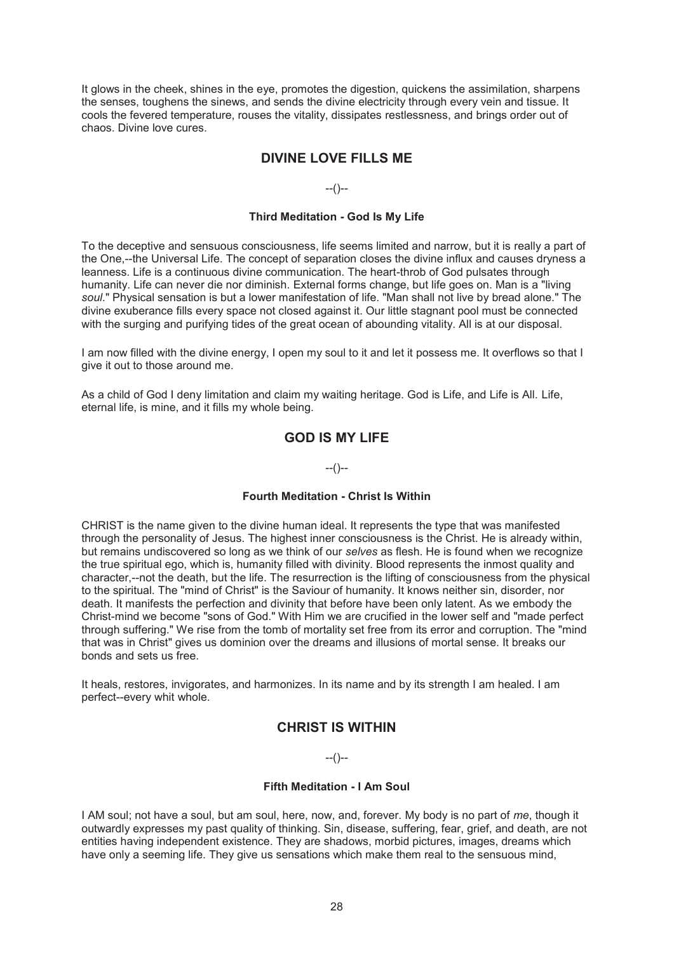It glows in the cheek, shines in the eye, promotes the digestion, quickens the assimilation, sharpens the senses, toughens the sinews, and sends the divine electricity through every vein and tissue. It cools the fevered temperature, rouses the vitality, dissipates restlessness, and brings order out of chaos. Divine love cures.

# **DIVINE LOVE FILLS ME**

 $-(-)$ 

### **Third Meditation - God Is My Life**

To the deceptive and sensuous consciousness, life seems limited and narrow, but it is really a part of the One,--the Universal Life. The concept of separation closes the divine influx and causes dryness a leanness. Life is a continuous divine communication. The heart-throb of God pulsates through humanity. Life can never die nor diminish. External forms change, but life goes on. Man is a "living *soul*." Physical sensation is but a lower manifestation of life. "Man shall not live by bread alone." The divine exuberance fills every space not closed against it. Our little stagnant pool must be connected with the surging and purifying tides of the great ocean of abounding vitality. All is at our disposal.

I am now filled with the divine energy, I open my soul to it and let it possess me. It overflows so that I give it out to those around me.

As a child of God I deny limitation and claim my waiting heritage. God is Life, and Life is All. Life, eternal life, is mine, and it fills my whole being.

# **GOD IS MY LIFE**

 $-(-)$ 

### **Fourth Meditation - Christ Is Within**

CHRIST is the name given to the divine human ideal. It represents the type that was manifested through the personality of Jesus. The highest inner consciousness is the Christ. He is already within, but remains undiscovered so long as we think of our *selves* as flesh. He is found when we recognize the true spiritual ego, which is, humanity filled with divinity. Blood represents the inmost quality and character,--not the death, but the life. The resurrection is the lifting of consciousness from the physical to the spiritual. The "mind of Christ" is the Saviour of humanity. It knows neither sin, disorder, nor death. It manifests the perfection and divinity that before have been only latent. As we embody the Christ-mind we become "sons of God." With Him we are crucified in the lower self and "made perfect through suffering." We rise from the tomb of mortality set free from its error and corruption. The "mind that was in Christ" gives us dominion over the dreams and illusions of mortal sense. It breaks our bonds and sets us free.

It heals, restores, invigorates, and harmonizes. In its name and by its strength I am healed. I am perfect--every whit whole.

# **CHRIST IS WITHIN**

### $-(-)$

### **Fifth Meditation - I Am Soul**

I AM soul; not have a soul, but am soul, here, now, and, forever. My body is no part of *me*, though it outwardly expresses my past quality of thinking. Sin, disease, suffering, fear, grief, and death, are not entities having independent existence. They are shadows, morbid pictures, images, dreams which have only a seeming life. They give us sensations which make them real to the sensuous mind,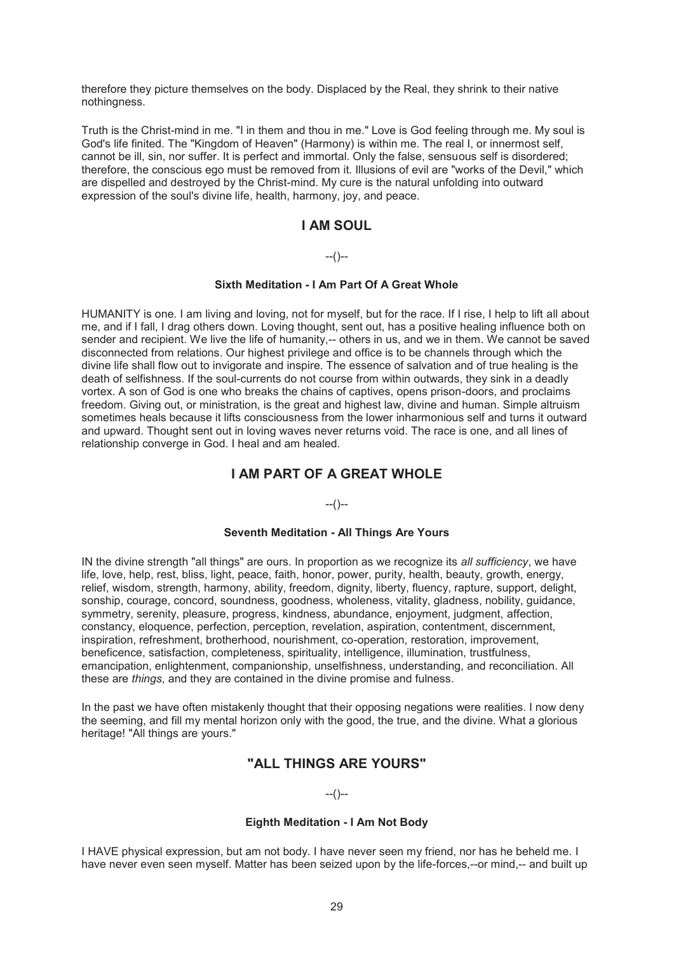therefore they picture themselves on the body. Displaced by the Real, they shrink to their native nothingness.

Truth is the Christ-mind in me. "I in them and thou in me." Love is God feeling through me. My soul is God's life finited. The "Kingdom of Heaven" (Harmony) is within me. The real I, or innermost self, cannot be ill, sin, nor suffer. It is perfect and immortal. Only the false, sensuous self is disordered; therefore, the conscious ego must be removed from it. Illusions of evil are "works of the Devil," which are dispelled and destroyed by the Christ-mind. My cure is the natural unfolding into outward expression of the soul's divine life, health, harmony, joy, and peace.

# **I AM SOUL**

### $-(-)$

### **Sixth Meditation - I Am Part Of A Great Whole**

HUMANITY is one. I am living and loving, not for myself, but for the race. If I rise, I help to lift all about me, and if I fall, I drag others down. Loving thought, sent out, has a positive healing influence both on sender and recipient. We live the life of humanity,-- others in us, and we in them. We cannot be saved disconnected from relations. Our highest privilege and office is to be channels through which the divine life shall flow out to invigorate and inspire. The essence of salvation and of true healing is the death of selfishness. If the soul-currents do not course from within outwards, they sink in a deadly vortex. A son of God is one who breaks the chains of captives, opens prison-doors, and proclaims freedom. Giving out, or ministration, is the great and highest law, divine and human. Simple altruism sometimes heals because it lifts consciousness from the lower inharmonious self and turns it outward and upward. Thought sent out in loving waves never returns void. The race is one, and all lines of relationship converge in God. I heal and am healed.

# **I AM PART OF A GREAT WHOLE**

### --()--

#### **Seventh Meditation - All Things Are Yours**

IN the divine strength "all things" are ours. In proportion as we recognize its *all sufficiency*, we have life, love, help, rest, bliss, light, peace, faith, honor, power, purity, health, beauty, growth, energy, relief, wisdom, strength, harmony, ability, freedom, dignity, liberty, fluency, rapture, support, delight, sonship, courage, concord, soundness, goodness, wholeness, vitality, gladness, nobility, guidance, symmetry, serenity, pleasure, progress, kindness, abundance, enjoyment, judgment, affection, constancy, eloquence, perfection, perception, revelation, aspiration, contentment, discernment, inspiration, refreshment, brotherhood, nourishment, co-operation, restoration, improvement, beneficence, satisfaction, completeness, spirituality, intelligence, illumination, trustfulness, emancipation, enlightenment, companionship, unselfishness, understanding, and reconciliation. All these are *things*, and they are contained in the divine promise and fulness.

In the past we have often mistakenly thought that their opposing negations were realities. I now deny the seeming, and fill my mental horizon only with the good, the true, and the divine. What a glorious heritage! "All things are yours."

# **"ALL THINGS ARE YOURS"**

### --()--

### **Eighth Meditation - I Am Not Body**

I HAVE physical expression, but am not body. I have never seen my friend, nor has he beheld me. I have never even seen myself. Matter has been seized upon by the life-forces,--or mind,-- and built up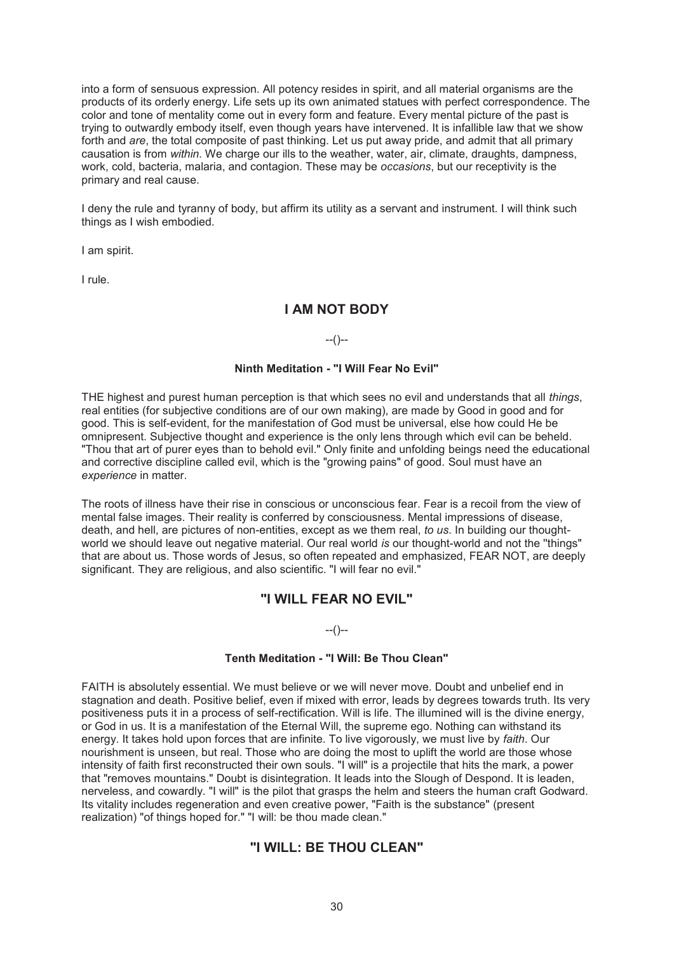into a form of sensuous expression. All potency resides in spirit, and all material organisms are the products of its orderly energy. Life sets up its own animated statues with perfect correspondence. The color and tone of mentality come out in every form and feature. Every mental picture of the past is trying to outwardly embody itself, even though years have intervened. It is infallible law that we show forth and *are*, the total composite of past thinking. Let us put away pride, and admit that all primary causation is from *within*. We charge our ills to the weather, water, air, climate, draughts, dampness, work, cold, bacteria, malaria, and contagion. These may be *occasions*, but our receptivity is the primary and real cause.

I deny the rule and tyranny of body, but affirm its utility as a servant and instrument. I will think such things as I wish embodied.

I am spirit.

I rule.

### **I AM NOT BODY**

 $-(-)$ 

#### **Ninth Meditation - "I Will Fear No Evil"**

THE highest and purest human perception is that which sees no evil and understands that all *things*, real entities (for subjective conditions are of our own making), are made by Good in good and for good. This is self-evident, for the manifestation of God must be universal, else how could He be omnipresent. Subjective thought and experience is the only lens through which evil can be beheld. "Thou that art of purer eyes than to behold evil." Only finite and unfolding beings need the educational and corrective discipline called evil, which is the "growing pains" of good. Soul must have an *experience* in matter.

The roots of illness have their rise in conscious or unconscious fear. Fear is a recoil from the view of mental false images. Their reality is conferred by consciousness. Mental impressions of disease, death, and hell, are pictures of non-entities, except as we them real, *to us*. In building our thoughtworld we should leave out negative material. Our real world *is* our thought-world and not the ''things" that are about us. Those words of Jesus, so often repeated and emphasized, FEAR NOT, are deeply significant. They are religious, and also scientific. "I will fear no evil."

# **"I WILL FEAR NO EVIL"**

 $-(-)$ 

#### **Tenth Meditation - "I Will: Be Thou Clean"**

FAITH is absolutely essential. We must believe or we will never move. Doubt and unbelief end in stagnation and death. Positive belief, even if mixed with error, leads by degrees towards truth. Its very positiveness puts it in a process of self-rectification. Will is life. The illumined will is the divine energy, or God in us. It is a manifestation of the Eternal Will, the supreme ego. Nothing can withstand its energy. It takes hold upon forces that are infinite. To live vigorously, we must live by *faith*. Our nourishment is unseen, but real. Those who are doing the most to uplift the world are those whose intensity of faith first reconstructed their own souls. "I will" is a projectile that hits the mark, a power that "removes mountains." Doubt is disintegration. It leads into the Slough of Despond. It is leaden, nerveless, and cowardly. "I will" is the pilot that grasps the helm and steers the human craft Godward. Its vitality includes regeneration and even creative power, "Faith is the substance" (present realization) "of things hoped for." "I will: be thou made clean."

# **"I WILL: BE THOU CLEAN"**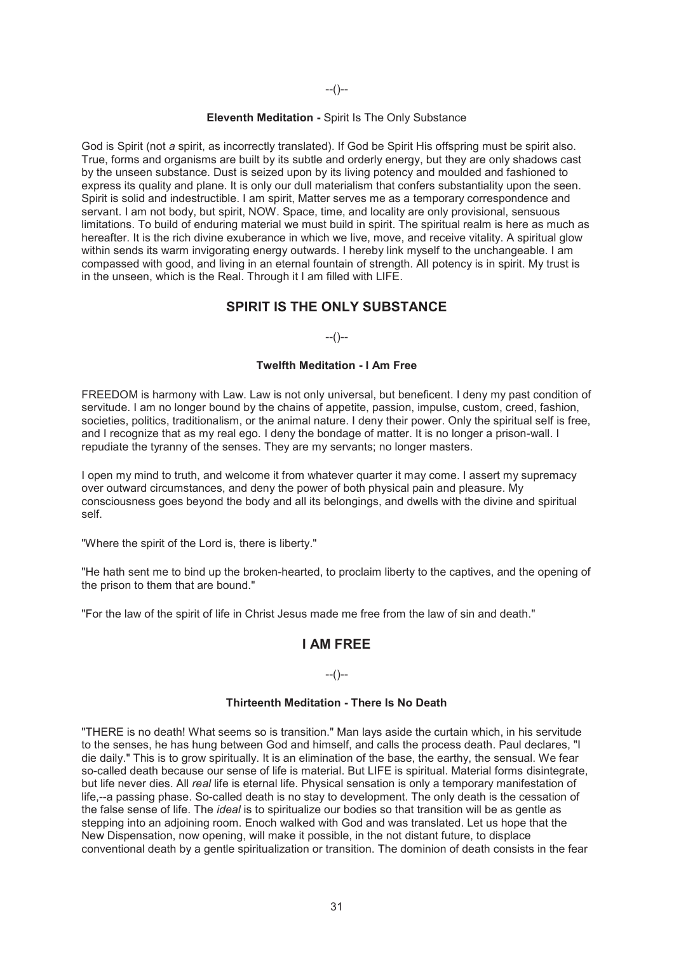--()--

#### **Eleventh Meditation -** Spirit Is The Only Substance

God is Spirit (not *a* spirit, as incorrectly translated). If God be Spirit His offspring must be spirit also. True, forms and organisms are built by its subtle and orderly energy, but they are only shadows cast by the unseen substance. Dust is seized upon by its living potency and moulded and fashioned to express its quality and plane. It is only our dull materialism that confers substantiality upon the seen. Spirit is solid and indestructible. I am spirit, Matter serves me as a temporary correspondence and servant. I am not body, but spirit, NOW. Space, time, and locality are only provisional, sensuous limitations. To build of enduring material we must build in spirit. The spiritual realm is here as much as hereafter. It is the rich divine exuberance in which we live, move, and receive vitality. A spiritual glow within sends its warm invigorating energy outwards. I hereby link myself to the unchangeable. I am compassed with good, and living in an eternal fountain of strength. All potency is in spirit. My trust is in the unseen, which is the Real. Through it I am filled with LIFE.

# **SPIRIT IS THE ONLY SUBSTANCE**

### --()--

#### **Twelfth Meditation - I Am Free**

FREEDOM is harmony with Law. Law is not only universal, but beneficent. I deny my past condition of servitude. I am no longer bound by the chains of appetite, passion, impulse, custom, creed, fashion, societies, politics, traditionalism, or the animal nature. I deny their power. Only the spiritual self is free, and I recognize that as my real ego. I deny the bondage of matter. It is no longer a prison-wall. I repudiate the tyranny of the senses. They are my servants; no longer masters.

I open my mind to truth, and welcome it from whatever quarter it may come. I assert my supremacy over outward circumstances, and deny the power of both physical pain and pleasure. My consciousness goes beyond the body and all its belongings, and dwells with the divine and spiritual self.

"Where the spirit of the Lord is, there is liberty."

"He hath sent me to bind up the broken-hearted, to proclaim liberty to the captives, and the opening of the prison to them that are bound."

"For the law of the spirit of life in Christ Jesus made me free from the law of sin and death."

### **I AM FREE**

### $-(-)$

### **Thirteenth Meditation - There Is No Death**

"THERE is no death! What seems so is transition." Man lays aside the curtain which, in his servitude to the senses, he has hung between God and himself, and calls the process death. Paul declares, "I die daily." This is to grow spiritually. It is an elimination of the base, the earthy, the sensual. We fear so-called death because our sense of life is material. But LIFE is spiritual. Material forms disintegrate, but life never dies. All *real* life is eternal life. Physical sensation is only a temporary manifestation of life,--a passing phase. So-called death is no stay to development. The only death is the cessation of the false sense of life. The *ideal* is to spiritualize our bodies so that transition will be as gentle as stepping into an adjoining room. Enoch walked with God and was translated. Let us hope that the New Dispensation, now opening, will make it possible, in the not distant future, to displace conventional death by a gentle spiritualization or transition. The dominion of death consists in the fear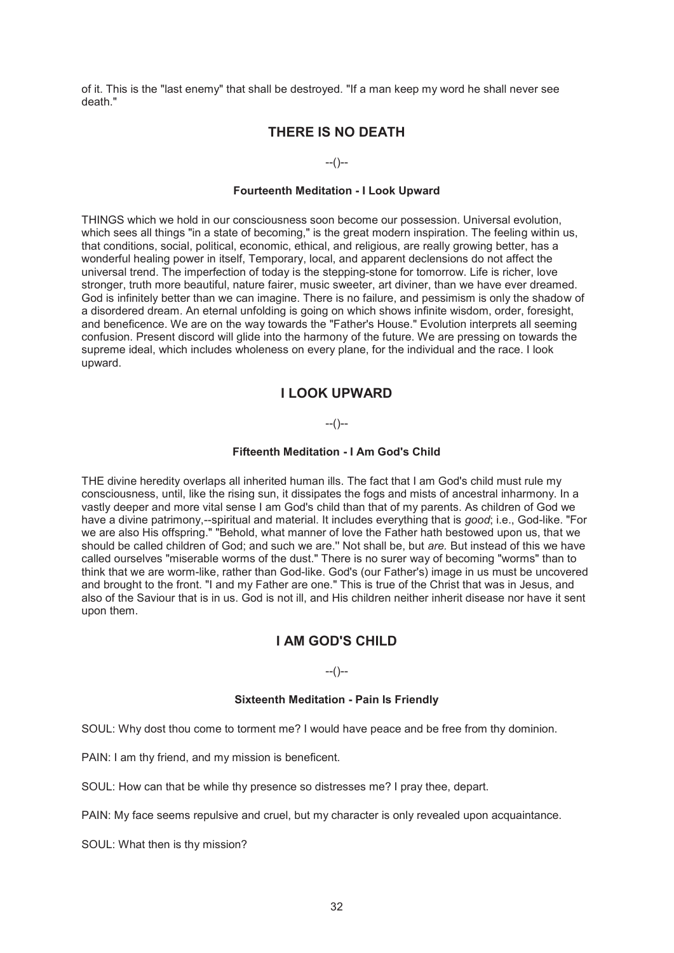of it. This is the "last enemy" that shall be destroyed. "If a man keep my word he shall never see death."

# **THERE IS NO DEATH**

#### --()--

#### **Fourteenth Meditation - I Look Upward**

THINGS which we hold in our consciousness soon become our possession. Universal evolution, which sees all things "in a state of becoming," is the great modern inspiration. The feeling within us, that conditions, social, political, economic, ethical, and religious, are really growing better, has a wonderful healing power in itself, Temporary, local, and apparent declensions do not affect the universal trend. The imperfection of today is the stepping-stone for tomorrow. Life is richer, love stronger, truth more beautiful, nature fairer, music sweeter, art diviner, than we have ever dreamed. God is infinitely better than we can imagine. There is no failure, and pessimism is only the shadow of a disordered dream. An eternal unfolding is going on which shows infinite wisdom, order, foresight, and beneficence. We are on the way towards the "Father's House." Evolution interprets all seeming confusion. Present discord will glide into the harmony of the future. We are pressing on towards the supreme ideal, which includes wholeness on every plane, for the individual and the race. I look upward.

# **I LOOK UPWARD**

### $-(-)$

#### **Fifteenth Meditation - I Am God's Child**

THE divine heredity overlaps all inherited human ills. The fact that I am God's child must rule my consciousness, until, like the rising sun, it dissipates the fogs and mists of ancestral inharmony. In a vastly deeper and more vital sense I am God's child than that of my parents. As children of God we have a divine patrimony,--spiritual and material. It includes everything that is *good*; i.e., God-like. "For we are also His offspring." "Behold, what manner of love the Father hath bestowed upon us, that we should be called children of God; and such we are.'' Not shall be, but *are.* But instead of this we have called ourselves "miserable worms of the dust." There is no surer way of becoming "worms" than to think that we are worm-like, rather than God-like. God's (our Father's) image in us must be uncovered and brought to the front. "I and my Father are one." This is true of the Christ that was in Jesus, and also of the Saviour that is in us. God is not ill, and His children neither inherit disease nor have it sent upon them.

# **I AM GOD'S CHILD**

--()--

### **Sixteenth Meditation - Pain Is Friendly**

SOUL: Why dost thou come to torment me? I would have peace and be free from thy dominion.

PAIN: I am thy friend, and my mission is beneficent.

SOUL: How can that be while thy presence so distresses me? I pray thee, depart.

PAIN: My face seems repulsive and cruel, but my character is only revealed upon acquaintance.

SOUL: What then is thy mission?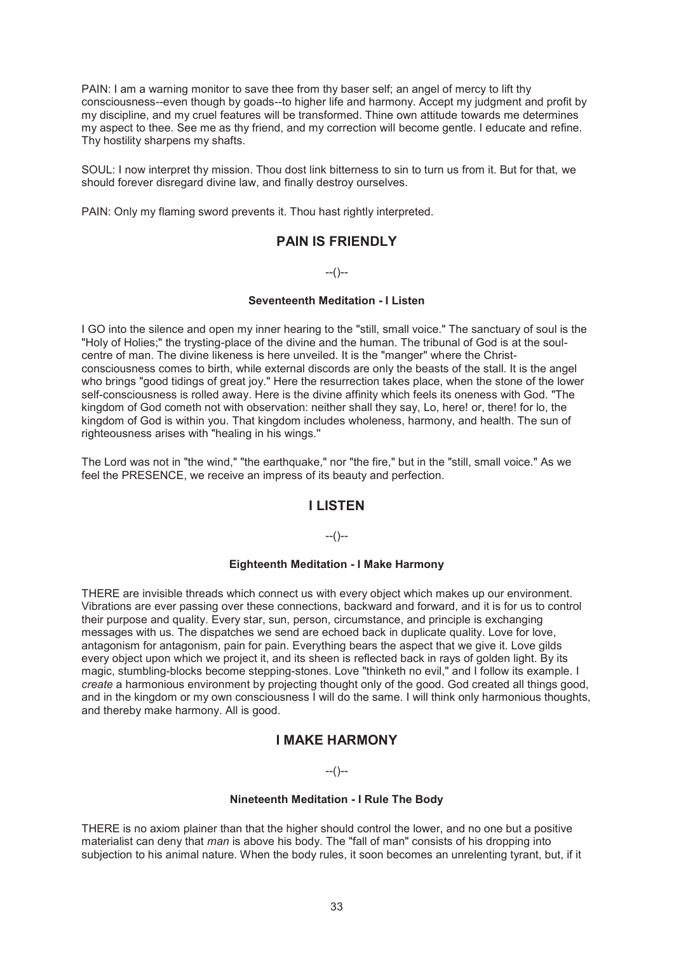PAIN: I am a warning monitor to save thee from thy baser self; an angel of mercy to lift thy consciousness--even though by goads--to higher life and harmony. Accept my judgment and profit by my discipline, and my cruel features will be transformed. Thine own attitude towards me determines my aspect to thee. See me as thy friend, and my correction will become gentle. I educate and refine. Thy hostility sharpens my shafts.

SOUL: I now interpret thy mission. Thou dost link bitterness to sin to turn us from it. But for that, we should forever disregard divine law, and finally destroy ourselves.

PAIN: Only my flaming sword prevents it. Thou hast rightly interpreted.

# **PAIN IS FRIENDLY**

 $-(-)$ 

#### **Seventeenth Meditation - I Listen**

I GO into the silence and open my inner hearing to the "still, small voice." The sanctuary of soul is the "Holy of Holies;" the trysting-place of the divine and the human. The tribunal of God is at the soulcentre of man. The divine likeness is here unveiled. It is the "manger" where the Christconsciousness comes to birth, while external discords are only the beasts of the stall. It is the angel who brings "good tidings of great joy." Here the resurrection takes place, when the stone of the lower self-consciousness is rolled away. Here is the divine affinity which feels its oneness with God. "The kingdom of God cometh not with observation: neither shall they say, Lo, here! or, there! for lo, the kingdom of God is within you. That kingdom includes wholeness, harmony, and health. The sun of righteousness arises with "healing in his wings.''

The Lord was not in "the wind," "the earthquake," nor "the fire," but in the "still, small voice." As we feel the PRESENCE, we receive an impress of its beauty and perfection.

# **I LISTEN**

--()--

#### **Eighteenth Meditation - I Make Harmony**

THERE are invisible threads which connect us with every object which makes up our environment. Vibrations are ever passing over these connections, backward and forward, and it is for us to control their purpose and quality. Every star, sun, person, circumstance, and principle is exchanging messages with us. The dispatches we send are echoed back in duplicate quality. Love for love, antagonism for antagonism, pain for pain. Everything bears the aspect that we give it. Love gilds every object upon which we project it, and its sheen is reflected back in rays of golden light. By its magic, stumbling-blocks become stepping-stones. Love "thinketh no evil," and I follow its example. I *create* a harmonious environment by projecting thought only of the good. God created all things good, and in the kingdom or my own consciousness I will do the same. I will think only harmonious thoughts, and thereby make harmony. All is good.

# **I MAKE HARMONY**

#### --()--

### **Nineteenth Meditation - I Rule The Body**

THERE is no axiom plainer than that the higher should control the lower, and no one but a positive materialist can deny that *man* is above his body. The "fall of man" consists of his dropping into subjection to his animal nature. When the body rules, it soon becomes an unrelenting tyrant, but, if it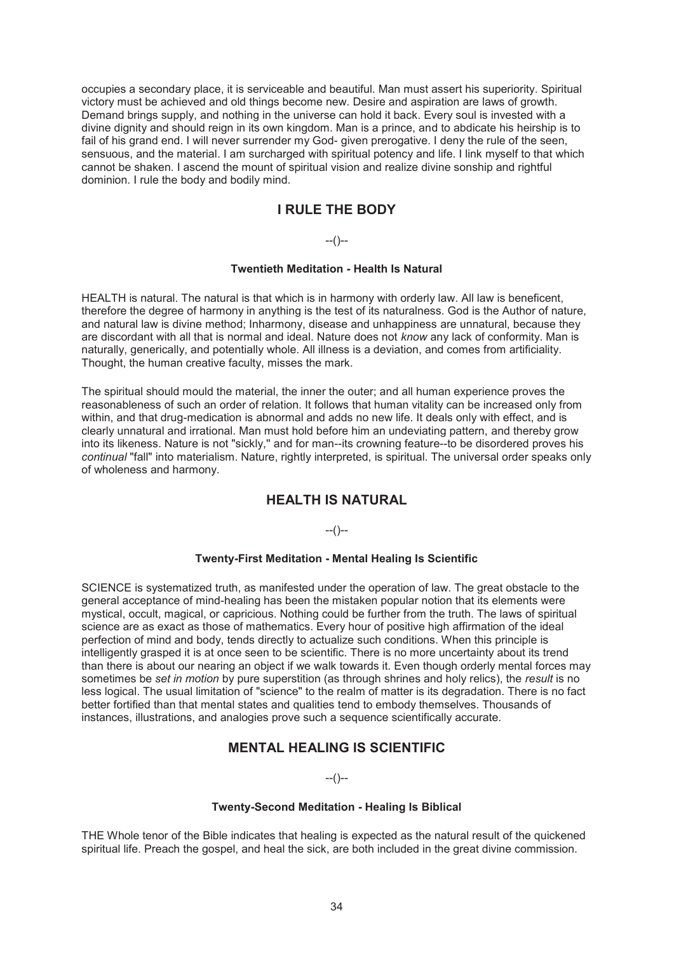occupies a secondary place, it is serviceable and beautiful. Man must assert his superiority. Spiritual victory must be achieved and old things become new. Desire and aspiration are laws of growth. Demand brings supply, and nothing in the universe can hold it back. Every soul is invested with a divine dignity and should reign in its own kingdom. Man is a prince, and to abdicate his heirship is to fail of his grand end. I will never surrender my God- given prerogative. I deny the rule of the seen, sensuous, and the material. I am surcharged with spiritual potency and life. I link myself to that which cannot be shaken. I ascend the mount of spiritual vision and realize divine sonship and rightful dominion. I rule the body and bodily mind.

# **I RULE THE BODY**

# $-(-)$

### **Twentieth Meditation - Health Is Natural**

HEALTH is natural. The natural is that which is in harmony with orderly law. All law is beneficent, therefore the degree of harmony in anything is the test of its naturalness. God is the Author of nature, and natural law is divine method; Inharmony, disease and unhappiness are unnatural, because they are discordant with all that is normal and ideal. Nature does not *know* any lack of conformity. Man is naturally, generically, and potentially whole. All illness is a deviation, and comes from artificiality. Thought, the human creative faculty, misses the mark.

The spiritual should mould the material, the inner the outer; and all human experience proves the reasonableness of such an order of relation. It follows that human vitality can be increased only from within, and that drug-medication is abnormal and adds no new life. It deals only with effect, and is clearly unnatural and irrational. Man must hold before him an undeviating pattern, and thereby grow into its likeness. Nature is not "sickly,'' and for man--its crowning feature--to be disordered proves his *continual* "fall" into materialism. Nature, rightly interpreted, is spiritual. The universal order speaks only of wholeness and harmony.

# **HEALTH IS NATURAL**

### $-(-)$

#### **Twenty-First Meditation - Mental Healing Is Scientific**

SCIENCE is systematized truth, as manifested under the operation of law. The great obstacle to the general acceptance of mind-healing has been the mistaken popular notion that its elements were mystical, occult, magical, or capricious. Nothing could be further from the truth. The laws of spiritual science are as exact as those of mathematics. Every hour of positive high affirmation of the ideal perfection of mind and body, tends directly to actualize such conditions. When this principle is intelligently grasped it is at once seen to be scientific. There is no more uncertainty about its trend than there is about our nearing an object if we walk towards it. Even though orderly mental forces may sometimes be *set in motion* by pure superstition (as through shrines and holy relics), the *result* is no less logical. The usual limitation of "science" to the realm of matter is its degradation. There is no fact better fortified than that mental states and qualities tend to embody themselves. Thousands of instances, illustrations, and analogies prove such a sequence scientifically accurate.

# **MENTAL HEALING IS SCIENTIFIC**

 $-(-)$ 

#### **Twenty-Second Meditation - Healing Is Biblical**

THE Whole tenor of the Bible indicates that healing is expected as the natural result of the quickened spiritual life. Preach the gospel, and heal the sick, are both included in the great divine commission.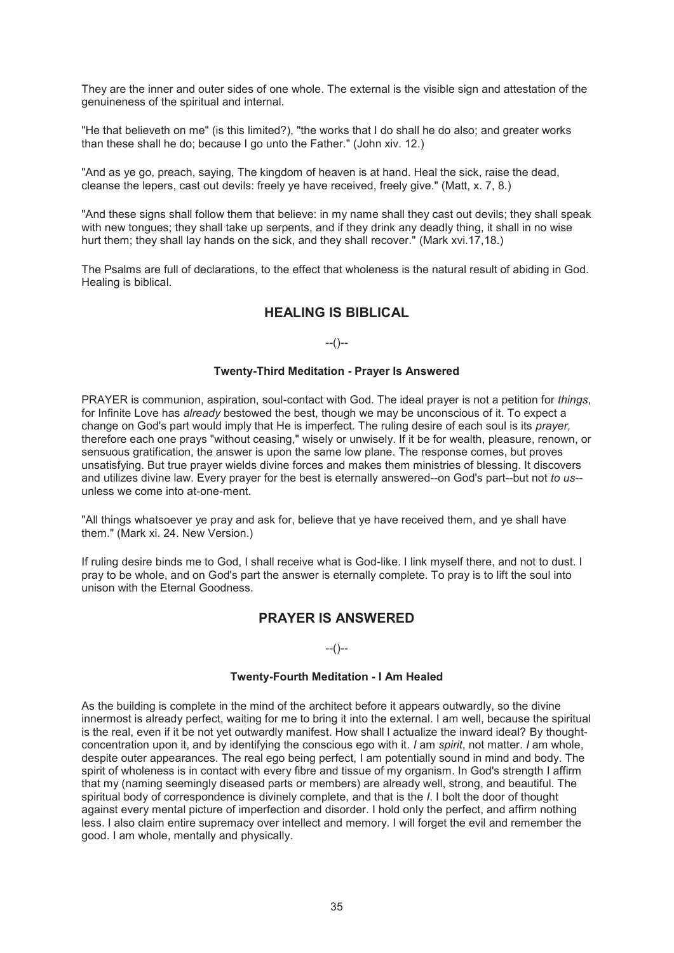They are the inner and outer sides of one whole. The external is the visible sign and attestation of the genuineness of the spiritual and internal.

"He that believeth on me" (is this limited?), "the works that I do shall he do also; and greater works than these shall he do; because I go unto the Father." (John xiv. 12.)

"And as ye go, preach, saying, The kingdom of heaven is at hand. Heal the sick, raise the dead, cleanse the lepers, cast out devils: freely ye have received, freely give." (Matt, x. 7, 8.)

"And these signs shall follow them that believe: in my name shall they cast out devils; they shall speak with new tongues; they shall take up serpents, and if they drink any deadly thing, it shall in no wise hurt them; they shall lay hands on the sick, and they shall recover." (Mark xvi.17,18.)

The Psalms are full of declarations, to the effect that wholeness is the natural result of abiding in God. Healing is biblical.

# **HEALING IS BIBLICAL**

 $-(-)$ 

#### **Twenty-Third Meditation - Prayer Is Answered**

PRAYER is communion, aspiration, soul-contact with God. The ideal prayer is not a petition for *things*, for Infinite Love has *already* bestowed the best, though we may be unconscious of it. To expect a change on God's part would imply that He is imperfect. The ruling desire of each soul is its *prayer,* therefore each one prays "without ceasing," wisely or unwisely. If it be for wealth, pleasure, renown, or sensuous gratification, the answer is upon the same low plane. The response comes, but proves unsatisfying. But true prayer wields divine forces and makes them ministries of blessing. It discovers and utilizes divine law. Every prayer for the best is eternally answered--on God's part--but not *to us*- unless we come into at-one-ment.

"All things whatsoever ye pray and ask for, believe that ye have received them, and ye shall have them." (Mark xi. 24. New Version.)

If ruling desire binds me to God, I shall receive what is God-like. I link myself there, and not to dust. I pray to be whole, and on God's part the answer is eternally complete. To pray is to lift the soul into unison with the Eternal Goodness.

# **PRAYER IS ANSWERED**

#### $-(-)$

#### **Twenty-Fourth Meditation - I Am Healed**

As the building is complete in the mind of the architect before it appears outwardly, so the divine innermost is already perfect, waiting for me to bring it into the external. I am well, because the spiritual is the real, even if it be not yet outwardly manifest. How shall l actualize the inward ideal? By thoughtconcentration upon it, and by identifying the conscious ego with it. *I* am *spirit*, not matter. *I* am whole, despite outer appearances. The real ego being perfect, I am potentially sound in mind and body. The spirit of wholeness is in contact with every fibre and tissue of my organism. In God's strength I affirm that my (naming seemingly diseased parts or members) are already well, strong, and beautiful. The spiritual body of correspondence is divinely complete, and that is the *I*. I bolt the door of thought against every mental picture of imperfection and disorder. I hold only the perfect, and affirm nothing less. I also claim entire supremacy over intellect and memory. I will forget the evil and remember the good. I am whole, mentally and physically.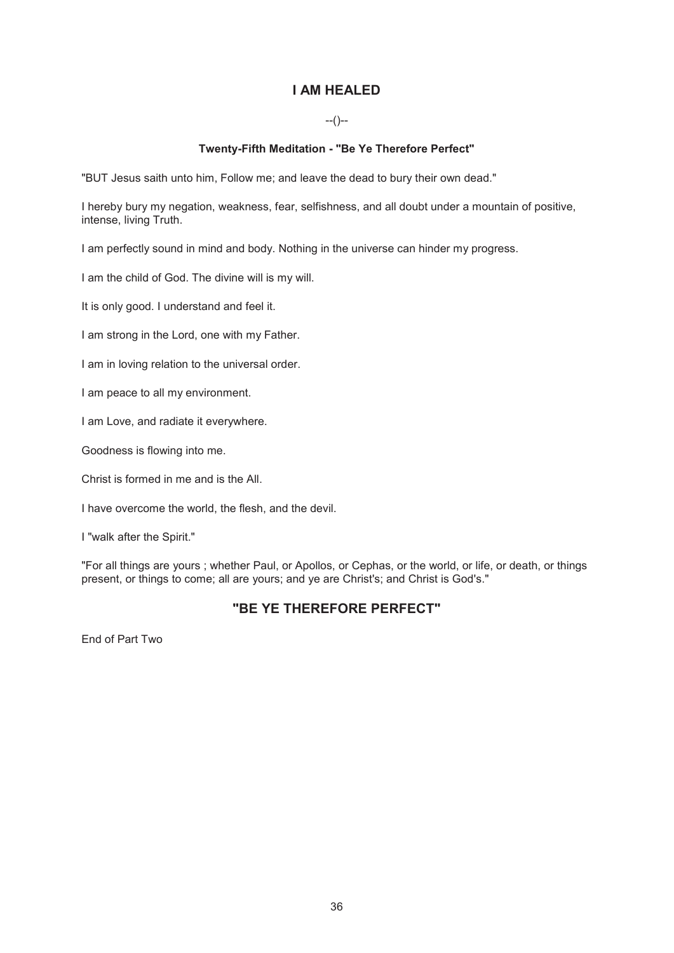# **I AM HEALED**

# $-(-)$

### **Twenty-Fifth Meditation - "Be Ye Therefore Perfect"**

"BUT Jesus saith unto him, Follow me; and leave the dead to bury their own dead."

I hereby bury my negation, weakness, fear, selfishness, and all doubt under a mountain of positive, intense, living Truth.

I am perfectly sound in mind and body. Nothing in the universe can hinder my progress.

I am the child of God. The divine will is my will.

It is only good. I understand and feel it.

I am strong in the Lord, one with my Father.

I am in loving relation to the universal order.

I am peace to all my environment.

I am Love, and radiate it everywhere.

Goodness is flowing into me.

Christ is formed in me and is the All.

I have overcome the world, the flesh, and the devil.

I "walk after the Spirit."

"For all things are yours ; whether Paul, or Apollos, or Cephas, or the world, or life, or death, or things present, or things to come; all are yours; and ye are Christ's; and Christ is God's."

# **"BE YE THEREFORE PERFECT"**

End of Part Two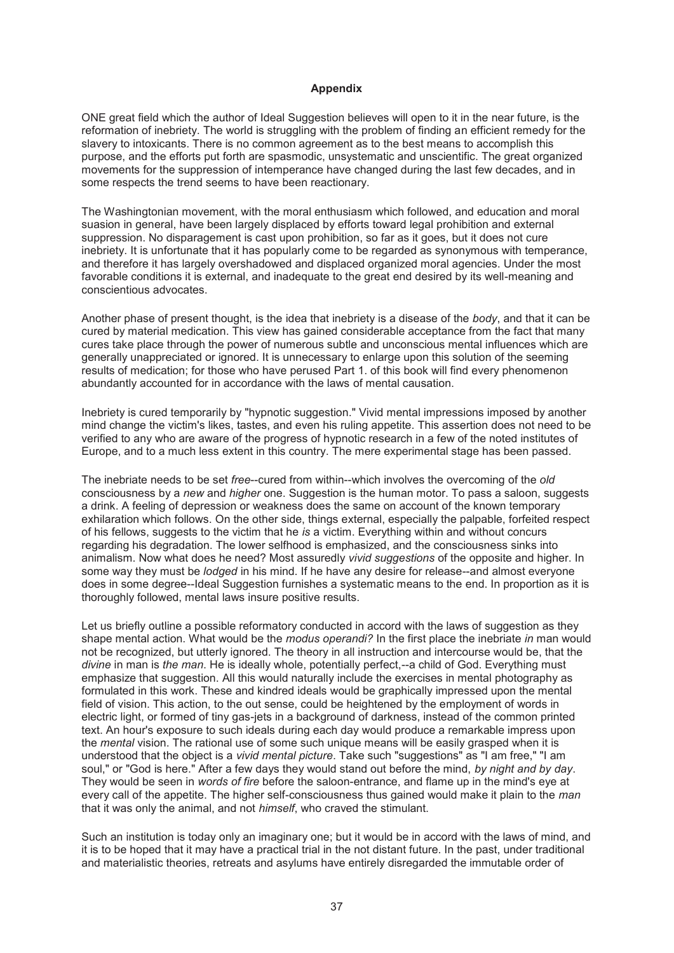#### **Appendix**

ONE great field which the author of Ideal Suggestion believes will open to it in the near future, is the reformation of inebriety. The world is struggling with the problem of finding an efficient remedy for the slavery to intoxicants. There is no common agreement as to the best means to accomplish this purpose, and the efforts put forth are spasmodic, unsystematic and unscientific. The great organized movements for the suppression of intemperance have changed during the last few decades, and in some respects the trend seems to have been reactionary.

The Washingtonian movement, with the moral enthusiasm which followed, and education and moral suasion in general, have been largely displaced by efforts toward legal prohibition and external suppression. No disparagement is cast upon prohibition, so far as it goes, but it does not cure inebriety. It is unfortunate that it has popularly come to be regarded as synonymous with temperance, and therefore it has largely overshadowed and displaced organized moral agencies. Under the most favorable conditions it is external, and inadequate to the great end desired by its well-meaning and conscientious advocates.

Another phase of present thought, is the idea that inebriety is a disease of the *body*, and that it can be cured by material medication. This view has gained considerable acceptance from the fact that many cures take place through the power of numerous subtle and unconscious mental influences which are generally unappreciated or ignored. It is unnecessary to enlarge upon this solution of the seeming results of medication; for those who have perused Part 1. of this book will find every phenomenon abundantly accounted for in accordance with the laws of mental causation.

Inebriety is cured temporarily by "hypnotic suggestion." Vivid mental impressions imposed by another mind change the victim's likes, tastes, and even his ruling appetite. This assertion does not need to be verified to any who are aware of the progress of hypnotic research in a few of the noted institutes of Europe, and to a much less extent in this country. The mere experimental stage has been passed.

The inebriate needs to be set *free*--cured from within--which involves the overcoming of the *old*  consciousness by a *new* and *higher* one. Suggestion is the human motor. To pass a saloon, suggests a drink. A feeling of depression or weakness does the same on account of the known temporary exhilaration which follows. On the other side, things external, especially the palpable, forfeited respect of his fellows, suggests to the victim that he *is* a victim. Everything within and without concurs regarding his degradation. The lower selfhood is emphasized, and the consciousness sinks into animalism. Now what does he need? Most assuredly *vivid suggestions* of the opposite and higher. In some way they must be *lodged* in his mind. If he have any desire for release--and almost everyone does in some degree--Ideal Suggestion furnishes a systematic means to the end. In proportion as it is thoroughly followed, mental laws insure positive results.

Let us briefly outline a possible reformatory conducted in accord with the laws of suggestion as they shape mental action. What would be the *modus operandi?* In the first place the inebriate *in* man would not be recognized, but utterly ignored. The theory in all instruction and intercourse would be, that the *divine* in man is *the man*. He is ideally whole, potentially perfect,--a child of God. Everything must emphasize that suggestion. All this would naturally include the exercises in mental photography as formulated in this work. These and kindred ideals would be graphically impressed upon the mental field of vision. This action, to the out sense, could be heightened by the employment of words in electric light, or formed of tiny gas-jets in a background of darkness, instead of the common printed text. An hour's exposure to such ideals during each day would produce a remarkable impress upon the *mental* vision. The rational use of some such unique means will be easily grasped when it is understood that the object is a *vivid mental picture*. Take such "suggestions" as "I am free," "I am soul," or "God is here." After a few days they would stand out before the mind, *by night and by day*. They would be seen in *words of fire* before the saloon-entrance, and flame up in the mind's eye at every call of the appetite. The higher self-consciousness thus gained would make it plain to the *man* that it was only the animal, and not *himself*, who craved the stimulant.

Such an institution is today only an imaginary one; but it would be in accord with the laws of mind, and it is to be hoped that it may have a practical trial in the not distant future. In the past, under traditional and materialistic theories, retreats and asylums have entirely disregarded the immutable order of